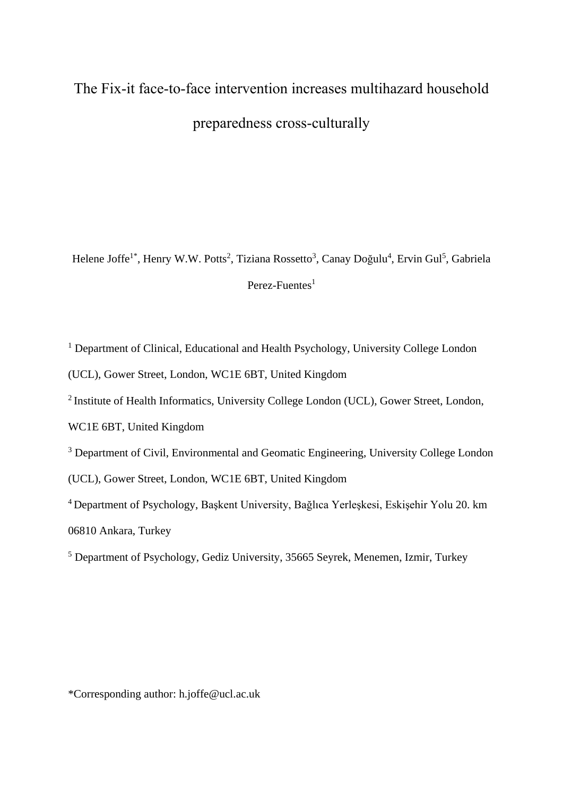# The Fix-it face-to-face intervention increases multihazard household preparedness cross-culturally

Helene Joffe<sup>1\*</sup>, Henry W.W. Potts<sup>2</sup>, Tiziana Rossetto<sup>3</sup>, Canay Doğulu<sup>4</sup>, Ervin Gul<sup>5</sup>, Gabriela Perez-Fuentes $<sup>1</sup>$ </sup>

<sup>1</sup> Department of Clinical, Educational and Health Psychology, University College London

(UCL), Gower Street, London, WC1E 6BT, United Kingdom

<sup>2</sup> Institute of Health Informatics, University College London (UCL), Gower Street, London,

WC1E 6BT, United Kingdom

<sup>3</sup> Department of Civil, Environmental and Geomatic Engineering, University College London

(UCL), Gower Street, London, WC1E 6BT, United Kingdom

<sup>4</sup>Department of Psychology, Başkent University, Bağlıca Yerleşkesi, Eskişehir Yolu 20. km 06810 Ankara, Turkey

<sup>5</sup> Department of Psychology, Gediz University, 35665 Seyrek, Menemen, Izmir, Turkey

\*Corresponding author: h.joffe@ucl.ac.uk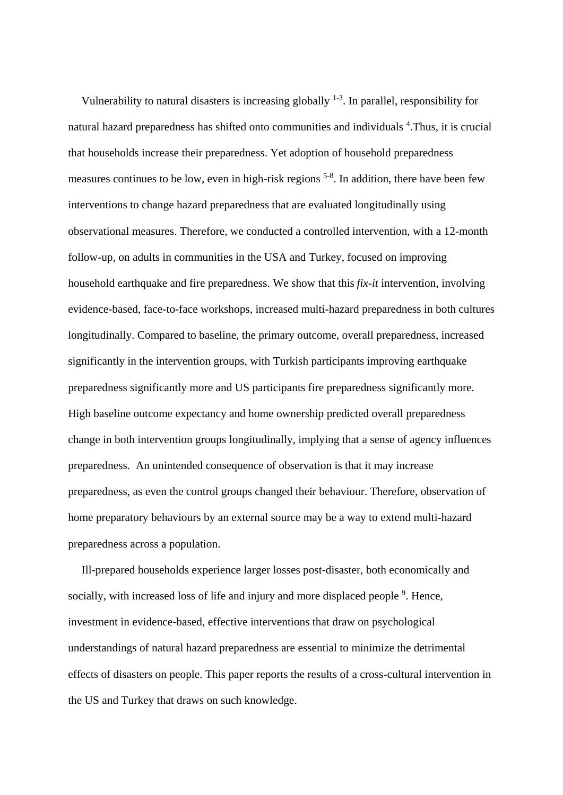Vulnerability to natural disasters is increasing globally  $1-3$ . In parallel, responsibility for natural hazard preparedness has shifted onto communities and individuals <sup>4</sup>. Thus, it is crucial that households increase their preparedness. Yet adoption of household preparedness measures continues to be low, even in high-risk regions <sup>5-8</sup>. In addition, there have been few interventions to change hazard preparedness that are evaluated longitudinally using observational measures. Therefore, we conducted a controlled intervention, with a 12-month follow-up, on adults in communities in the USA and Turkey, focused on improving household earthquake and fire preparedness. We show that this *fix-it* intervention, involving evidence-based, face-to-face workshops, increased multi-hazard preparedness in both cultures longitudinally. Compared to baseline, the primary outcome, overall preparedness, increased significantly in the intervention groups, with Turkish participants improving earthquake preparedness significantly more and US participants fire preparedness significantly more. High baseline outcome expectancy and home ownership predicted overall preparedness change in both intervention groups longitudinally, implying that a sense of agency influences preparedness. An unintended consequence of observation is that it may increase preparedness, as even the control groups changed their behaviour. Therefore, observation of home preparatory behaviours by an external source may be a way to extend multi-hazard preparedness across a population.

Ill-prepared households experience larger losses post-disaster, both economically and socially, with increased loss of life and injury and more displaced people <sup>9</sup>. Hence, investment in evidence-based, effective interventions that draw on psychological understandings of natural hazard preparedness are essential to minimize the detrimental effects of disasters on people. This paper reports the results of a cross-cultural intervention in the US and Turkey that draws on such knowledge.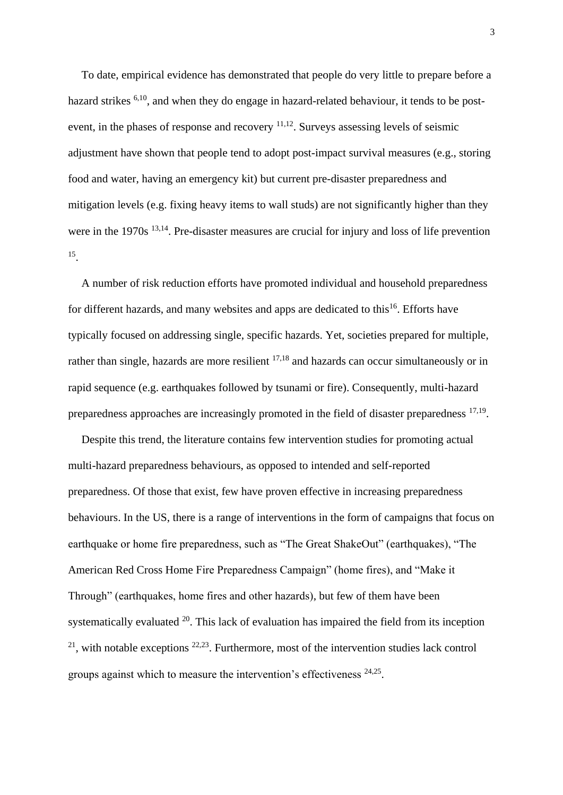To date, empirical evidence has demonstrated that people do very little to prepare before a hazard strikes <sup>6,10</sup>, and when they do engage in hazard-related behaviour, it tends to be postevent, in the phases of response and recovery 11,12. Surveys assessing levels of seismic adjustment have shown that people tend to adopt post-impact survival measures (e.g., storing food and water, having an emergency kit) but current pre-disaster preparedness and mitigation levels (e.g. fixing heavy items to wall studs) are not significantly higher than they were in the 1970s <sup>13,14</sup>. Pre-disaster measures are crucial for injury and loss of life prevention 15 .

A number of risk reduction efforts have promoted individual and household preparedness for different hazards, and many websites and apps are dedicated to this<sup>16</sup>. Efforts have typically focused on addressing single, specific hazards. Yet, societies prepared for multiple, rather than single, hazards are more resilient <sup>17,18</sup> and hazards can occur simultaneously or in rapid sequence (e.g. earthquakes followed by tsunami or fire). Consequently, multi-hazard preparedness approaches are increasingly promoted in the field of disaster preparedness <sup>17,19</sup>.

Despite this trend, the literature contains few intervention studies for promoting actual multi-hazard preparedness behaviours, as opposed to intended and self-reported preparedness. Of those that exist, few have proven effective in increasing preparedness behaviours. In the US, there is a range of interventions in the form of campaigns that focus on earthquake or home fire preparedness, such as "The Great ShakeOut" (earthquakes), "The American Red Cross Home Fire Preparedness Campaign" (home fires), and "Make it Through" (earthquakes, home fires and other hazards), but few of them have been systematically evaluated  $20$ . This lack of evaluation has impaired the field from its inception  $2<sup>1</sup>$ , with notable exceptions  $2<sup>2,23</sup>$ . Furthermore, most of the intervention studies lack control groups against which to measure the intervention's effectiveness <sup>24,25</sup>.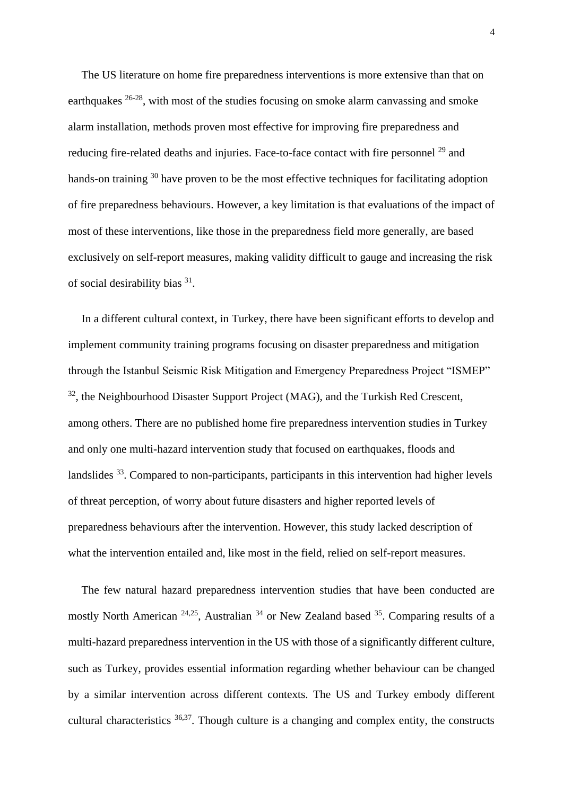The US literature on home fire preparedness interventions is more extensive than that on earthquakes 26-28, with most of the studies focusing on smoke alarm canvassing and smoke alarm installation, methods proven most effective for improving fire preparedness and reducing fire-related deaths and injuries. Face-to-face contact with fire personnel <sup>29</sup> and hands-on training <sup>30</sup> have proven to be the most effective techniques for facilitating adoption of fire preparedness behaviours. However, a key limitation is that evaluations of the impact of most of these interventions, like those in the preparedness field more generally, are based exclusively on self-report measures, making validity difficult to gauge and increasing the risk of social desirability bias <sup>31</sup>.

In a different cultural context, in Turkey, there have been significant efforts to develop and implement community training programs focusing on disaster preparedness and mitigation through the Istanbul Seismic Risk Mitigation and Emergency Preparedness Project "ISMEP" <sup>32</sup>, the Neighbourhood Disaster Support Project (MAG), and the Turkish Red Crescent, among others. There are no published home fire preparedness intervention studies in Turkey and only one multi-hazard intervention study that focused on earthquakes, floods and landslides <sup>33</sup>. Compared to non-participants, participants in this intervention had higher levels of threat perception, of worry about future disasters and higher reported levels of preparedness behaviours after the intervention. However, this study lacked description of what the intervention entailed and, like most in the field, relied on self-report measures.

The few natural hazard preparedness intervention studies that have been conducted are mostly North American  $24,25$ , Australian  $34$  or New Zealand based  $35$ . Comparing results of a multi-hazard preparedness intervention in the US with those of a significantly different culture, such as Turkey, provides essential information regarding whether behaviour can be changed by a similar intervention across different contexts. The US and Turkey embody different cultural characteristics  $36,37$ . Though culture is a changing and complex entity, the constructs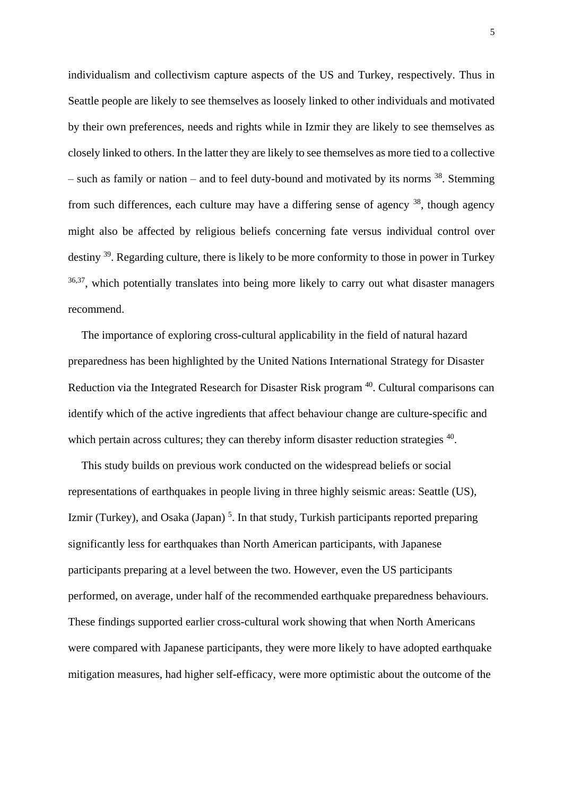individualism and collectivism capture aspects of the US and Turkey, respectively. Thus in Seattle people are likely to see themselves as loosely linked to other individuals and motivated by their own preferences, needs and rights while in Izmir they are likely to see themselves as closely linked to others. In the latter they are likely to see themselves as more tied to a collective – such as family or nation – and to feel duty-bound and motivated by its norms <sup>38</sup>. Stemming from such differences, each culture may have a differing sense of agency  $38$ , though agency might also be affected by religious beliefs concerning fate versus individual control over destiny <sup>39</sup>. Regarding culture, there is likely to be more conformity to those in power in Turkey  $36,37$ , which potentially translates into being more likely to carry out what disaster managers recommend.

The importance of exploring cross-cultural applicability in the field of natural hazard preparedness has been highlighted by the United Nations International Strategy for Disaster Reduction via the Integrated Research for Disaster Risk program<sup>40</sup>. Cultural comparisons can identify which of the active ingredients that affect behaviour change are culture-specific and which pertain across cultures; they can thereby inform disaster reduction strategies <sup>40</sup>.

This study builds on previous work conducted on the widespread beliefs or social representations of earthquakes in people living in three highly seismic areas: Seattle (US), Izmir (Turkey), and Osaka (Japan)<sup>5</sup>. In that study, Turkish participants reported preparing significantly less for earthquakes than North American participants, with Japanese participants preparing at a level between the two. However, even the US participants performed, on average, under half of the recommended earthquake preparedness behaviours. These findings supported earlier cross-cultural work showing that when North Americans were compared with Japanese participants, they were more likely to have adopted earthquake mitigation measures, had higher self-efficacy, were more optimistic about the outcome of the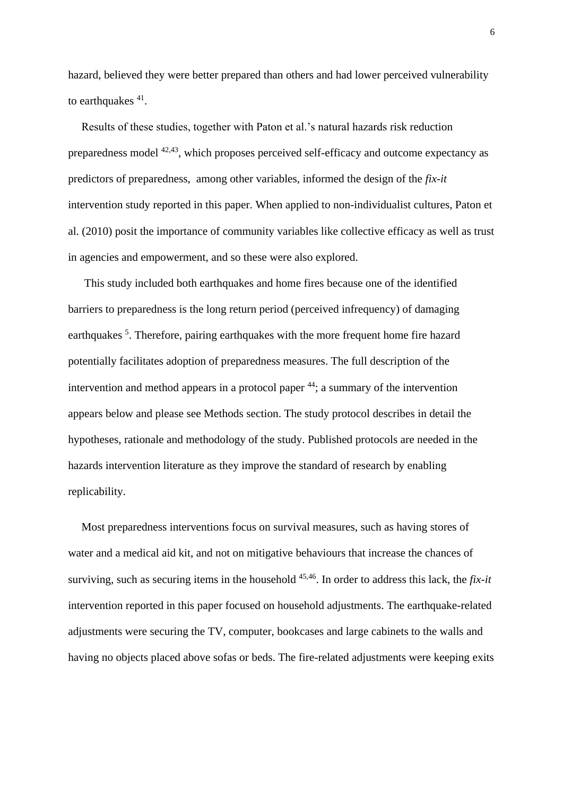hazard, believed they were better prepared than others and had lower perceived vulnerability to earthquakes  $41$ .

Results of these studies, together with Paton et al.'s natural hazards risk reduction preparedness model 42,43, which proposes perceived self-efficacy and outcome expectancy as predictors of preparedness, among other variables, informed the design of the *fix-it* intervention study reported in this paper. When applied to non-individualist cultures, Paton et al. (2010) posit the importance of community variables like collective efficacy as well as trust in agencies and empowerment, and so these were also explored.

This study included both earthquakes and home fires because one of the identified barriers to preparedness is the long return period (perceived infrequency) of damaging earthquakes<sup>5</sup>. Therefore, pairing earthquakes with the more frequent home fire hazard potentially facilitates adoption of preparedness measures. The full description of the intervention and method appears in a protocol paper <sup>44</sup>; a summary of the intervention appears below and please see Methods section. The study protocol describes in detail the hypotheses, rationale and methodology of the study. Published protocols are needed in the hazards intervention literature as they improve the standard of research by enabling replicability.

Most preparedness interventions focus on survival measures, such as having stores of water and a medical aid kit, and not on mitigative behaviours that increase the chances of surviving, such as securing items in the household 45,46. In order to address this lack, the *fix-it* intervention reported in this paper focused on household adjustments. The earthquake-related adjustments were securing the TV, computer, bookcases and large cabinets to the walls and having no objects placed above sofas or beds. The fire-related adjustments were keeping exits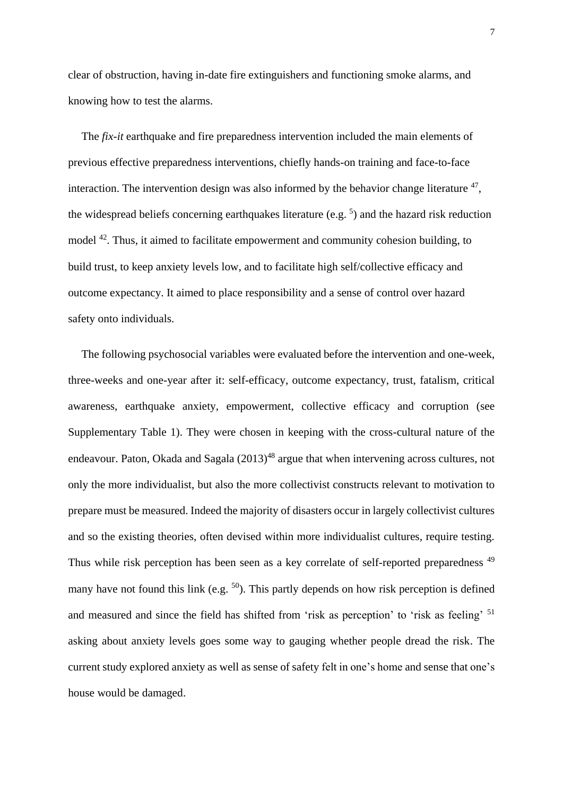clear of obstruction, having in-date fire extinguishers and functioning smoke alarms, and knowing how to test the alarms.

The *fix-it* earthquake and fire preparedness intervention included the main elements of previous effective preparedness interventions, chiefly hands-on training and face-to-face interaction. The intervention design was also informed by the behavior change literature  $47$ , the widespread beliefs concerning earthquakes literature (e.g.  $5$ ) and the hazard risk reduction model <sup>42</sup>. Thus, it aimed to facilitate empowerment and community cohesion building, to build trust, to keep anxiety levels low, and to facilitate high self/collective efficacy and outcome expectancy. It aimed to place responsibility and a sense of control over hazard safety onto individuals.

The following psychosocial variables were evaluated before the intervention and one-week, three-weeks and one-year after it: self-efficacy, outcome expectancy, trust, fatalism, critical awareness, earthquake anxiety, empowerment, collective efficacy and corruption (see Supplementary Table 1). They were chosen in keeping with the cross-cultural nature of the endeavour. Paton, Okada and Sagala  $(2013)^{48}$  argue that when intervening across cultures, not only the more individualist, but also the more collectivist constructs relevant to motivation to prepare must be measured. Indeed the majority of disasters occur in largely collectivist cultures and so the existing theories, often devised within more individualist cultures, require testing. Thus while risk perception has been seen as a key correlate of self-reported preparedness<sup>49</sup> many have not found this link (e.g.  $^{50}$ ). This partly depends on how risk perception is defined and measured and since the field has shifted from 'risk as perception' to 'risk as feeling' <sup>51</sup> asking about anxiety levels goes some way to gauging whether people dread the risk. The current study explored anxiety as well as sense of safety felt in one's home and sense that one's house would be damaged.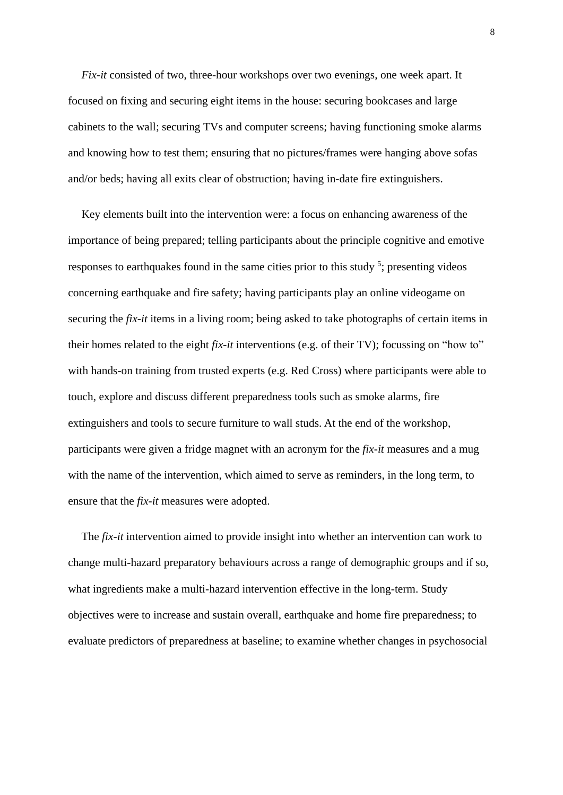*Fix-it* consisted of two, three-hour workshops over two evenings, one week apart. It focused on fixing and securing eight items in the house: securing bookcases and large cabinets to the wall; securing TVs and computer screens; having functioning smoke alarms and knowing how to test them; ensuring that no pictures/frames were hanging above sofas and/or beds; having all exits clear of obstruction; having in-date fire extinguishers.

Key elements built into the intervention were: a focus on enhancing awareness of the importance of being prepared; telling participants about the principle cognitive and emotive responses to earthquakes found in the same cities prior to this study  $5$ ; presenting videos concerning earthquake and fire safety; having participants play an online videogame on securing the *fix-it* items in a living room; being asked to take photographs of certain items in their homes related to the eight *fix-it* interventions (e.g. of their TV); focussing on "how to" with hands-on training from trusted experts (e.g. Red Cross) where participants were able to touch, explore and discuss different preparedness tools such as smoke alarms, fire extinguishers and tools to secure furniture to wall studs. At the end of the workshop, participants were given a fridge magnet with an acronym for the *fix*-*it* measures and a mug with the name of the intervention, which aimed to serve as reminders, in the long term, to ensure that the *fix*-*it* measures were adopted.

The *fix-it* intervention aimed to provide insight into whether an intervention can work to change multi-hazard preparatory behaviours across a range of demographic groups and if so, what ingredients make a multi-hazard intervention effective in the long-term. Study objectives were to increase and sustain overall, earthquake and home fire preparedness; to evaluate predictors of preparedness at baseline; to examine whether changes in psychosocial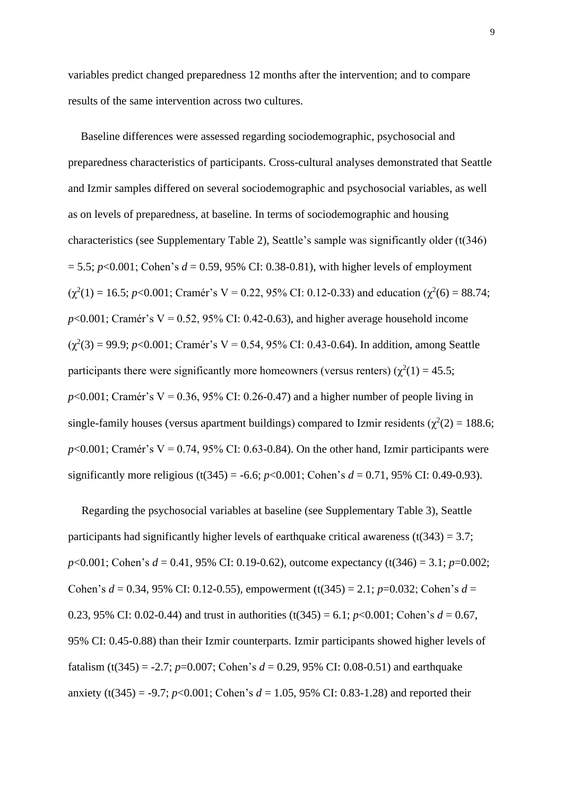variables predict changed preparedness 12 months after the intervention; and to compare results of the same intervention across two cultures.

Baseline differences were assessed regarding sociodemographic, psychosocial and preparedness characteristics of participants. Cross-cultural analyses demonstrated that Seattle and Izmir samples differed on several sociodemographic and psychosocial variables, as well as on levels of preparedness, at baseline. In terms of sociodemographic and housing characteristics (see Supplementary Table 2), Seattle's sample was significantly older (t(346)  $= 5.5$ ; *p*<0.001; Cohen's *d* = 0.59, 95% CI: 0.38-0.81), with higher levels of employment  $(\chi^2(1) = 16.5; p<0.001;$  Cramér's V = 0.22, 95% CI: 0.12-0.33) and education  $(\chi^2(6) = 88.74;$  $p<0.001$ ; Cramér's V = 0.52, 95% CI: 0.42-0.63), and higher average household income  $(\chi^2(3) = 99.9; p<0.001;$  Cramér's V = 0.54, 95% CI: 0.43-0.64). In addition, among Seattle participants there were significantly more homeowners (versus renters)  $(\chi^2(1) = 45.5)$ ;  $p<0.001$ ; Cramér's V = 0.36, 95% CI: 0.26-0.47) and a higher number of people living in single-family houses (versus apartment buildings) compared to Izmir residents ( $\chi^2(2) = 188.6$ ;  $p<0.001$ ; Cramér's V = 0.74, 95% CI: 0.63-0.84). On the other hand, Izmir participants were significantly more religious (t(345) = -6.6;  $p<0.001$ ; Cohen's  $d = 0.71$ , 95% CI: 0.49-0.93).

Regarding the psychosocial variables at baseline (see Supplementary Table 3), Seattle participants had significantly higher levels of earthquake critical awareness (t(343) = 3.7; *p*<0.001; Cohen's *d* = 0.41, 95% CI: 0.19-0.62), outcome expectancy (t(346) = 3.1; *p*=0.002; Cohen's *d* = 0.34, 95% CI: 0.12-0.55), empowerment (t(345) = 2.1; *p*=0.032; Cohen's *d* = 0.23, 95% CI: 0.02-0.44) and trust in authorities  $(t(345) = 6.1; p<0.001;$  Cohen's  $d = 0.67$ , 95% CI: 0.45-0.88) than their Izmir counterparts. Izmir participants showed higher levels of fatalism (t(345) = -2.7; *p*=0.007; Cohen's  $d = 0.29$ , 95% CI: 0.08-0.51) and earthquake anxiety (t(345) = -9.7;  $p<0.001$ ; Cohen's  $d = 1.05$ , 95% CI: 0.83-1.28) and reported their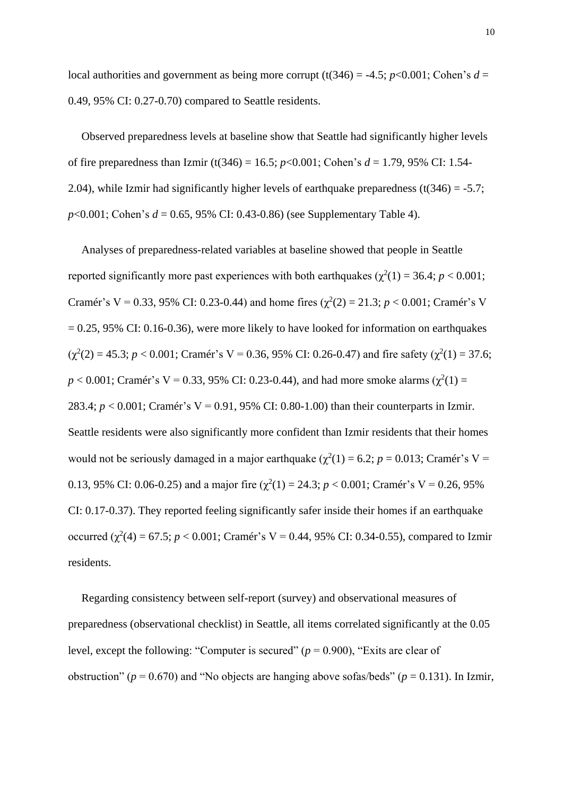local authorities and government as being more corrupt (t(346) = -4.5;  $p$ <0.001; Cohen's  $d =$ 0.49, 95% CI: 0.27-0.70) compared to Seattle residents.

Observed preparedness levels at baseline show that Seattle had significantly higher levels of fire preparedness than Izmir (t(346) = 16.5; *p*<0.001; Cohen's *d* = 1.79, 95% CI: 1.54- 2.04), while Izmir had significantly higher levels of earthquake preparedness  $(t(346) = -5.7$ ; *p*<0.001; Cohen's *d* = 0.65, 95% CI: 0.43-0.86) (see Supplementary Table 4).

Analyses of preparedness-related variables at baseline showed that people in Seattle reported significantly more past experiences with both earthquakes ( $\chi^2(1) = 36.4$ ;  $p < 0.001$ ; Cramér's V = 0.33, 95% CI: 0.23-0.44) and home fires  $(\chi^2(2) = 21.3; p < 0.001;$  Cramér's V  $= 0.25, 95\%$  CI: 0.16-0.36), were more likely to have looked for information on earthquakes  $(\chi^2(2) = 45.3; p < 0.001;$  Cramér's V = 0.36, 95% CI: 0.26-0.47) and fire safety  $(\chi^2(1) = 37.6;$  $p < 0.001$ ; Cramér's V = 0.33, 95% CI: 0.23-0.44), and had more smoke alarms ( $\chi^2(1)$  = 283.4; *p* < 0.001; Cramér's V = 0.91, 95% CI: 0.80-1.00) than their counterparts in Izmir. Seattle residents were also significantly more confident than Izmir residents that their homes would not be seriously damaged in a major earthquake  $(\chi^2(1) = 6.2; p = 0.013;$  Cramér's V = 0.13, 95% CI: 0.06-0.25) and a major fire  $(\chi^2(1) = 24.3; p < 0.001;$  Cramér's V = 0.26, 95% CI: 0.17-0.37). They reported feeling significantly safer inside their homes if an earthquake occurred  $(\chi^2(4) = 67.5; p < 0.001;$  Cramér's V = 0.44, 95% CI: 0.34-0.55), compared to Izmir residents.

Regarding consistency between self-report (survey) and observational measures of preparedness (observational checklist) in Seattle, all items correlated significantly at the 0.05 level, except the following: "Computer is secured" ( $p = 0.900$ ), "Exits are clear of obstruction" ( $p = 0.670$ ) and "No objects are hanging above sofas/beds" ( $p = 0.131$ ). In Izmir,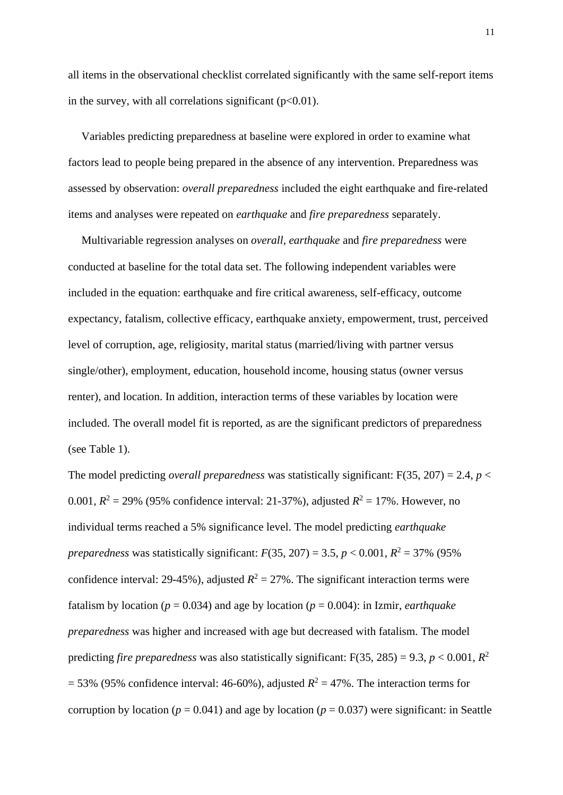all items in the observational checklist correlated significantly with the same self-report items in the survey, with all correlations significant  $(p<0.01)$ .

Variables predicting preparedness at baseline were explored in order to examine what factors lead to people being prepared in the absence of any intervention. Preparedness was assessed by observation: *overall preparedness* included the eight earthquake and fire-related items and analyses were repeated on *earthquake* and *fire preparedness* separately.

Multivariable regression analyses on *overall, earthquake* and *fire preparedness* were conducted at baseline for the total data set. The following independent variables were included in the equation: earthquake and fire critical awareness, self-efficacy, outcome expectancy, fatalism, collective efficacy, earthquake anxiety, empowerment, trust, perceived level of corruption, age, religiosity, marital status (married/living with partner versus single/other), employment, education, household income, housing status (owner versus renter), and location. In addition, interaction terms of these variables by location were included. The overall model fit is reported, as are the significant predictors of preparedness (see Table 1).

The model predicting *overall preparedness* was statistically significant:  $F(35, 207) = 2.4$ ,  $p <$ 0.001,  $R^2 = 29\%$  (95% confidence interval: 21-37%), adjusted  $R^2 = 17\%$ . However, no individual terms reached a 5% significance level. The model predicting *earthquake preparedness* was statistically significant:  $F(35, 207) = 3.5$ ,  $p < 0.001$ ,  $R^2 = 37\%$  (95%) confidence interval: 29-45%), adjusted  $R^2 = 27$ %. The significant interaction terms were fatalism by location ( $p = 0.034$ ) and age by location ( $p = 0.004$ ): in Izmir, *earthquake preparedness* was higher and increased with age but decreased with fatalism. The model predicting *fire preparedness* was also statistically significant:  $F(35, 285) = 9.3$ ,  $p < 0.001$ ,  $R^2$  $= 53\%$  (95% confidence interval: 46-60%), adjusted  $R^2 = 47\%$ . The interaction terms for corruption by location ( $p = 0.041$ ) and age by location ( $p = 0.037$ ) were significant: in Seattle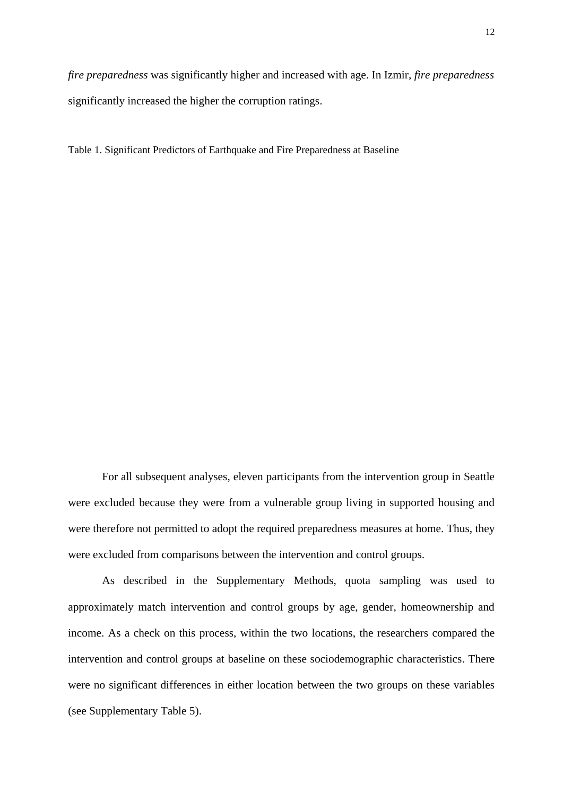*fire preparedness* was significantly higher and increased with age. In Izmir, *fire preparedness*  significantly increased the higher the corruption ratings.

Table 1. Significant Predictors of Earthquake and Fire Preparedness at Baseline

For all subsequent analyses, eleven participants from the intervention group in Seattle were excluded because they were from a vulnerable group living in supported housing and were therefore not permitted to adopt the required preparedness measures at home. Thus, they were excluded from comparisons between the intervention and control groups.

As described in the Supplementary Methods, quota sampling was used to approximately match intervention and control groups by age, gender, homeownership and income. As a check on this process, within the two locations, the researchers compared the intervention and control groups at baseline on these sociodemographic characteristics. There were no significant differences in either location between the two groups on these variables (see Supplementary Table 5).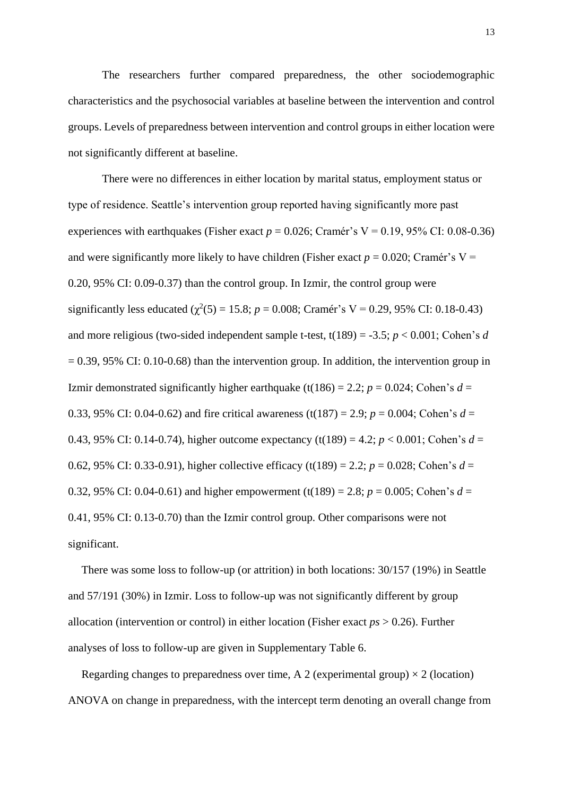The researchers further compared preparedness, the other sociodemographic characteristics and the psychosocial variables at baseline between the intervention and control groups. Levels of preparedness between intervention and control groups in either location were not significantly different at baseline.

There were no differences in either location by marital status, employment status or type of residence. Seattle's intervention group reported having significantly more past experiences with earthquakes (Fisher exact  $p = 0.026$ ; Cramér's V = 0.19, 95% CI: 0.08-0.36) and were significantly more likely to have children (Fisher exact  $p = 0.020$ ; Cramér's V = 0.20, 95% CI: 0.09-0.37) than the control group. In Izmir, the control group were significantly less educated ( $\chi^2(5) = 15.8$ ; *p* = 0.008; Cramér's V = 0.29, 95% CI: 0.18-0.43) and more religious (two-sided independent sample t-test, t(189) = -3.5; *p* < 0.001; Cohen's *d*  $= 0.39, 95\%$  CI: 0.10-0.68) than the intervention group. In addition, the intervention group in Izmir demonstrated significantly higher earthquake (t(186) = 2.2;  $p = 0.024$ ; Cohen's  $d =$ 0.33, 95% CI: 0.04-0.62) and fire critical awareness (t(187) = 2.9;  $p = 0.004$ ; Cohen's  $d =$ 0.43, 95% CI: 0.14-0.74), higher outcome expectancy (t(189) = 4.2;  $p < 0.001$ ; Cohen's  $d =$ 0.62, 95% CI: 0.33-0.91), higher collective efficacy (t(189) = 2.2;  $p = 0.028$ ; Cohen's  $d =$ 0.32, 95% CI: 0.04-0.61) and higher empowerment (t(189) = 2.8;  $p = 0.005$ ; Cohen's  $d =$ 0.41, 95% CI: 0.13-0.70) than the Izmir control group. Other comparisons were not significant.

There was some loss to follow-up (or attrition) in both locations: 30/157 (19%) in Seattle and 57/191 (30%) in Izmir. Loss to follow-up was not significantly different by group allocation (intervention or control) in either location (Fisher exact *ps* > 0.26). Further analyses of loss to follow-up are given in Supplementary Table 6.

Regarding changes to preparedness over time, A 2 (experimental group)  $\times$  2 (location) ANOVA on change in preparedness, with the intercept term denoting an overall change from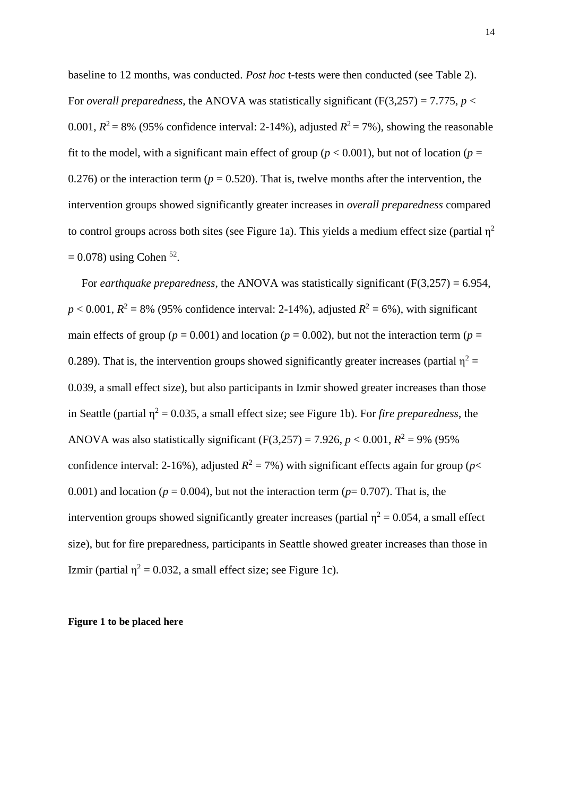baseline to 12 months, was conducted. *Post hoc* t-tests were then conducted (see Table 2). For *overall preparedness*, the ANOVA was statistically significant (F(3,257) = 7.775, *p* < 0.001,  $R^2 = 8\%$  (95% confidence interval: 2-14%), adjusted  $R^2 = 7\%$ ), showing the reasonable fit to the model, with a significant main effect of group ( $p < 0.001$ ), but not of location ( $p =$ 0.276) or the interaction term ( $p = 0.520$ ). That is, twelve months after the intervention, the intervention groups showed significantly greater increases in *overall preparedness* compared to control groups across both sites (see Figure 1a). This yields a medium effect size (partial  $\eta^2$  $= 0.078$ ) using Cohen <sup>52</sup>.

For *earthquake preparedness*, the ANOVA was statistically significant (F(3,257) = 6.954,  $p < 0.001$ ,  $R^2 = 8\%$  (95% confidence interval: 2-14%), adjusted  $R^2 = 6\%$ ), with significant main effects of group ( $p = 0.001$ ) and location ( $p = 0.002$ ), but not the interaction term ( $p =$ 0.289). That is, the intervention groups showed significantly greater increases (partial  $\eta^2$  = 0.039, a small effect size), but also participants in Izmir showed greater increases than those in Seattle (partial  $\eta^2 = 0.035$ , a small effect size; see Figure 1b). For *fire preparedness*, the ANOVA was also statistically significant  $(F(3,257) = 7.926, p < 0.001, R^2 = 9\%$  (95%) confidence interval: 2-16%), adjusted  $R^2 = 7\%$ ) with significant effects again for group (*p*< 0.001) and location ( $p = 0.004$ ), but not the interaction term ( $p = 0.707$ ). That is, the intervention groups showed significantly greater increases (partial  $\eta^2 = 0.054$ , a small effect size), but for fire preparedness, participants in Seattle showed greater increases than those in Izmir (partial  $\eta^2 = 0.032$ , a small effect size; see Figure 1c).

### **Figure 1 to be placed here**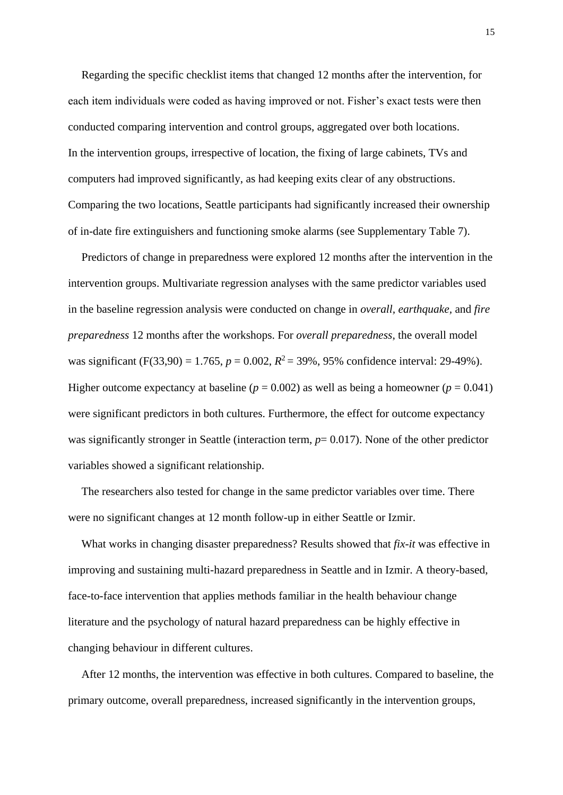Regarding the specific checklist items that changed 12 months after the intervention, for each item individuals were coded as having improved or not. Fisher's exact tests were then conducted comparing intervention and control groups, aggregated over both locations. In the intervention groups, irrespective of location, the fixing of large cabinets, TVs and computers had improved significantly, as had keeping exits clear of any obstructions. Comparing the two locations, Seattle participants had significantly increased their ownership of in-date fire extinguishers and functioning smoke alarms (see Supplementary Table 7).

Predictors of change in preparedness were explored 12 months after the intervention in the intervention groups. Multivariate regression analyses with the same predictor variables used in the baseline regression analysis were conducted on change in *overall, earthquake,* and *fire preparedness* 12 months after the workshops. For *overall preparedness*, the overall model was significant (F(33,90) = 1.765,  $p = 0.002$ ,  $R^2 = 39\%$ , 95% confidence interval: 29-49%). Higher outcome expectancy at baseline ( $p = 0.002$ ) as well as being a homeowner ( $p = 0.041$ ) were significant predictors in both cultures. Furthermore, the effect for outcome expectancy was significantly stronger in Seattle (interaction term,  $p=0.017$ ). None of the other predictor variables showed a significant relationship.

The researchers also tested for change in the same predictor variables over time. There were no significant changes at 12 month follow-up in either Seattle or Izmir.

What works in changing disaster preparedness? Results showed that *fix-it* was effective in improving and sustaining multi-hazard preparedness in Seattle and in Izmir. A theory-based, face-to-face intervention that applies methods familiar in the health behaviour change literature and the psychology of natural hazard preparedness can be highly effective in changing behaviour in different cultures.

After 12 months, the intervention was effective in both cultures. Compared to baseline, the primary outcome, overall preparedness, increased significantly in the intervention groups,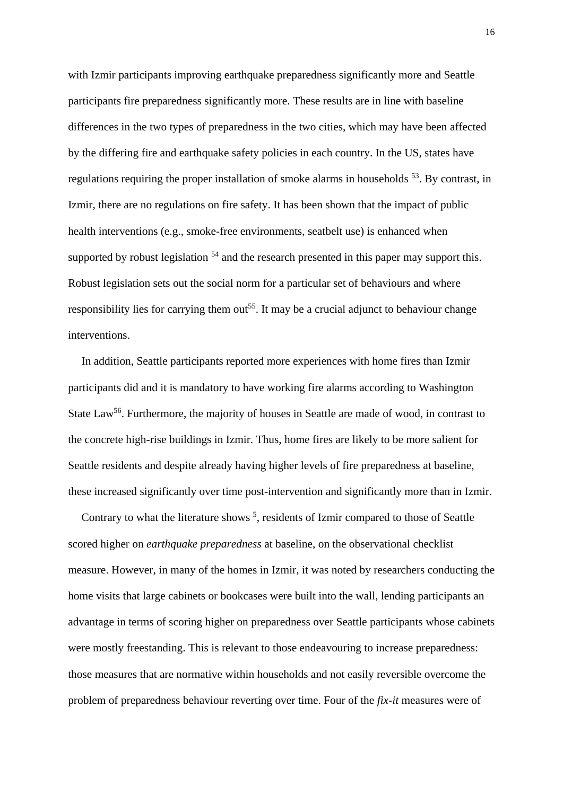with Izmir participants improving earthquake preparedness significantly more and Seattle participants fire preparedness significantly more. These results are in line with baseline differences in the two types of preparedness in the two cities, which may have been affected by the differing fire and earthquake safety policies in each country. In the US, states have regulations requiring the proper installation of smoke alarms in households  $53$ . By contrast, in Izmir, there are no regulations on fire safety. It has been shown that the impact of public health interventions (e.g., smoke-free environments, seatbelt use) is enhanced when supported by robust legislation  $54$  and the research presented in this paper may support this. Robust legislation sets out the social norm for a particular set of behaviours and where responsibility lies for carrying them out<sup>55</sup>. It may be a crucial adjunct to behaviour change interventions.

In addition, Seattle participants reported more experiences with home fires than Izmir participants did and it is mandatory to have working fire alarms according to Washington State Law<sup>56</sup>. Furthermore, the majority of houses in Seattle are made of wood, in contrast to the concrete high-rise buildings in Izmir. Thus, home fires are likely to be more salient for Seattle residents and despite already having higher levels of fire preparedness at baseline, these increased significantly over time post-intervention and significantly more than in Izmir.

Contrary to what the literature shows  $<sup>5</sup>$ , residents of Izmir compared to those of Seattle</sup> scored higher on *earthquake preparedness* at baseline, on the observational checklist measure. However, in many of the homes in Izmir, it was noted by researchers conducting the home visits that large cabinets or bookcases were built into the wall, lending participants an advantage in terms of scoring higher on preparedness over Seattle participants whose cabinets were mostly freestanding. This is relevant to those endeavouring to increase preparedness: those measures that are normative within households and not easily reversible overcome the problem of preparedness behaviour reverting over time. Four of the *fix-it* measures were of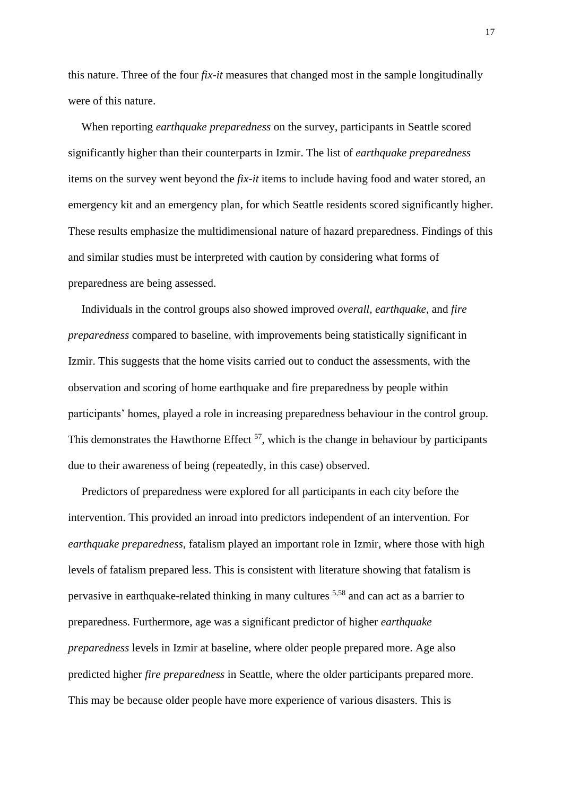this nature. Three of the four *fix-it* measures that changed most in the sample longitudinally were of this nature.

When reporting *earthquake preparedness* on the survey, participants in Seattle scored significantly higher than their counterparts in Izmir. The list of *earthquake preparedness* items on the survey went beyond the *fix-it* items to include having food and water stored, an emergency kit and an emergency plan, for which Seattle residents scored significantly higher. These results emphasize the multidimensional nature of hazard preparedness. Findings of this and similar studies must be interpreted with caution by considering what forms of preparedness are being assessed.

Individuals in the control groups also showed improved *overall, earthquake,* and *fire preparedness* compared to baseline, with improvements being statistically significant in Izmir. This suggests that the home visits carried out to conduct the assessments, with the observation and scoring of home earthquake and fire preparedness by people within participants' homes, played a role in increasing preparedness behaviour in the control group. This demonstrates the Hawthorne Effect  $57$ , which is the change in behaviour by participants due to their awareness of being (repeatedly, in this case) observed.

Predictors of preparedness were explored for all participants in each city before the intervention. This provided an inroad into predictors independent of an intervention. For *earthquake preparedness*, fatalism played an important role in Izmir, where those with high levels of fatalism prepared less. This is consistent with literature showing that fatalism is pervasive in earthquake-related thinking in many cultures 5,58 and can act as a barrier to preparedness. Furthermore, age was a significant predictor of higher *earthquake preparedness* levels in Izmir at baseline, where older people prepared more. Age also predicted higher *fire preparedness* in Seattle, where the older participants prepared more. This may be because older people have more experience of various disasters. This is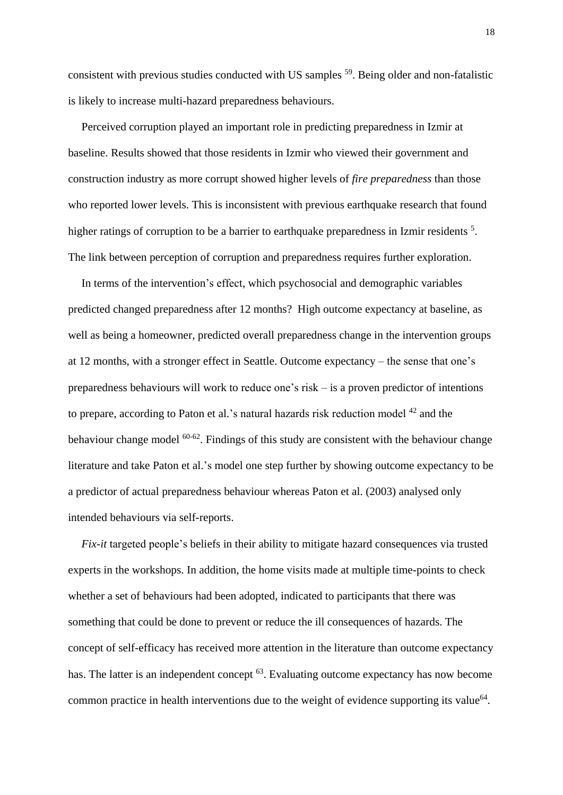consistent with previous studies conducted with US samples <sup>59</sup>. Being older and non-fatalistic is likely to increase multi-hazard preparedness behaviours.

Perceived corruption played an important role in predicting preparedness in Izmir at baseline. Results showed that those residents in Izmir who viewed their government and construction industry as more corrupt showed higher levels of *fire preparedness* than those who reported lower levels. This is inconsistent with previous earthquake research that found higher ratings of corruption to be a barrier to earthquake preparedness in Izmir residents<sup>5</sup>. The link between perception of corruption and preparedness requires further exploration.

In terms of the intervention's effect, which psychosocial and demographic variables predicted changed preparedness after 12 months? High outcome expectancy at baseline, as well as being a homeowner, predicted overall preparedness change in the intervention groups at 12 months, with a stronger effect in Seattle. Outcome expectancy – the sense that one's preparedness behaviours will work to reduce one's risk – is a proven predictor of intentions to prepare, according to Paton et al.'s natural hazards risk reduction model <sup>42</sup> and the behaviour change model <sup>60-62</sup>. Findings of this study are consistent with the behaviour change literature and take Paton et al.'s model one step further by showing outcome expectancy to be a predictor of actual preparedness behaviour whereas Paton et al. (2003) analysed only intended behaviours via self-reports.

*Fix-it* targeted people's beliefs in their ability to mitigate hazard consequences via trusted experts in the workshops. In addition, the home visits made at multiple time-points to check whether a set of behaviours had been adopted, indicated to participants that there was something that could be done to prevent or reduce the ill consequences of hazards. The concept of self-efficacy has received more attention in the literature than outcome expectancy has. The latter is an independent concept <sup>63</sup>. Evaluating outcome expectancy has now become common practice in health interventions due to the weight of evidence supporting its value<sup>64</sup>.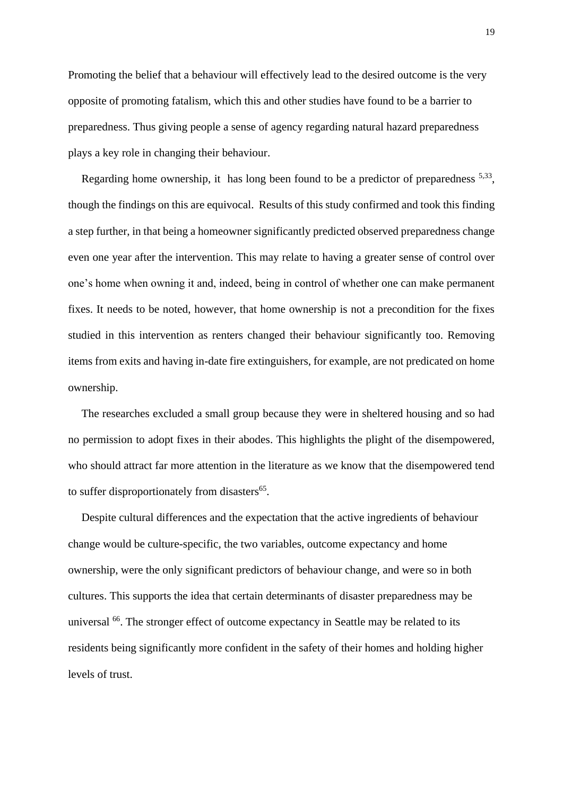Promoting the belief that a behaviour will effectively lead to the desired outcome is the very opposite of promoting fatalism, which this and other studies have found to be a barrier to preparedness. Thus giving people a sense of agency regarding natural hazard preparedness plays a key role in changing their behaviour.

Regarding home ownership, it has long been found to be a predictor of preparedness <sup>5,33</sup>, though the findings on this are equivocal. Results of this study confirmed and took this finding a step further, in that being a homeowner significantly predicted observed preparedness change even one year after the intervention. This may relate to having a greater sense of control over one's home when owning it and, indeed, being in control of whether one can make permanent fixes. It needs to be noted, however, that home ownership is not a precondition for the fixes studied in this intervention as renters changed their behaviour significantly too. Removing items from exits and having in-date fire extinguishers, for example, are not predicated on home ownership.

The researches excluded a small group because they were in sheltered housing and so had no permission to adopt fixes in their abodes. This highlights the plight of the disempowered, who should attract far more attention in the literature as we know that the disempowered tend to suffer disproportionately from disasters<sup>65</sup>.

Despite cultural differences and the expectation that the active ingredients of behaviour change would be culture-specific, the two variables, outcome expectancy and home ownership, were the only significant predictors of behaviour change, and were so in both cultures. This supports the idea that certain determinants of disaster preparedness may be universal <sup>66</sup>. The stronger effect of outcome expectancy in Seattle may be related to its residents being significantly more confident in the safety of their homes and holding higher levels of trust.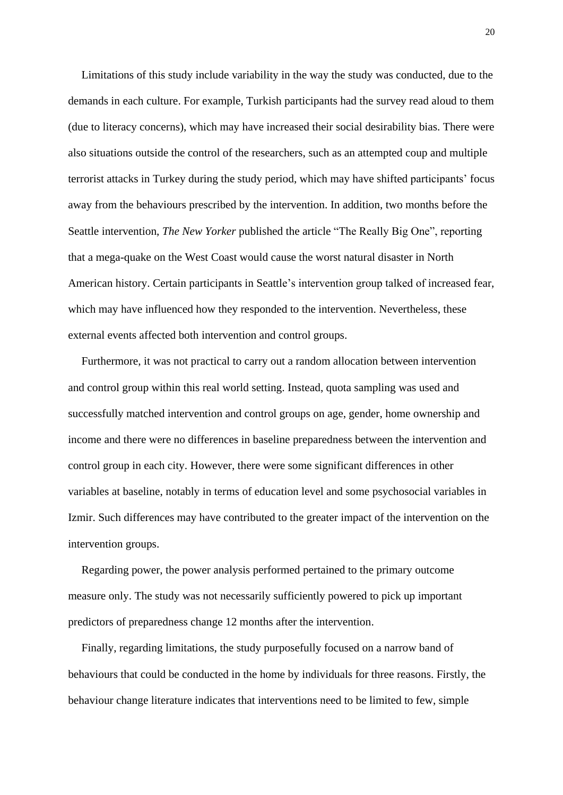Limitations of this study include variability in the way the study was conducted, due to the demands in each culture. For example, Turkish participants had the survey read aloud to them (due to literacy concerns), which may have increased their social desirability bias. There were also situations outside the control of the researchers, such as an attempted coup and multiple terrorist attacks in Turkey during the study period, which may have shifted participants' focus away from the behaviours prescribed by the intervention. In addition, two months before the Seattle intervention, *The New Yorker* published the article "The Really Big One", reporting that a mega-quake on the West Coast would cause the worst natural disaster in North American history. Certain participants in Seattle's intervention group talked of increased fear, which may have influenced how they responded to the intervention. Nevertheless, these external events affected both intervention and control groups.

Furthermore, it was not practical to carry out a random allocation between intervention and control group within this real world setting. Instead, quota sampling was used and successfully matched intervention and control groups on age, gender, home ownership and income and there were no differences in baseline preparedness between the intervention and control group in each city. However, there were some significant differences in other variables at baseline, notably in terms of education level and some psychosocial variables in Izmir. Such differences may have contributed to the greater impact of the intervention on the intervention groups.

Regarding power, the power analysis performed pertained to the primary outcome measure only. The study was not necessarily sufficiently powered to pick up important predictors of preparedness change 12 months after the intervention.

Finally, regarding limitations, the study purposefully focused on a narrow band of behaviours that could be conducted in the home by individuals for three reasons. Firstly, the behaviour change literature indicates that interventions need to be limited to few, simple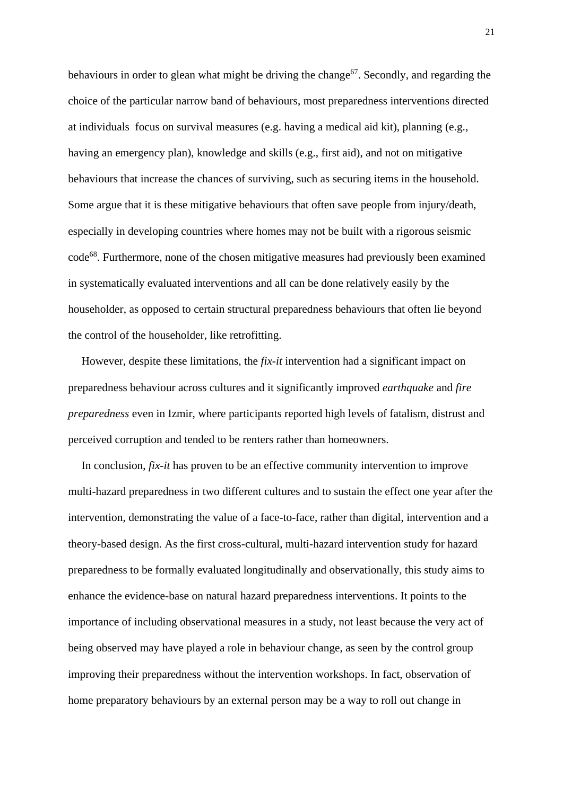behaviours in order to glean what might be driving the change<sup>67</sup>. Secondly, and regarding the choice of the particular narrow band of behaviours, most preparedness interventions directed at individuals focus on survival measures (e.g. having a medical aid kit), planning (e.g., having an emergency plan), knowledge and skills (e.g., first aid), and not on mitigative behaviours that increase the chances of surviving, such as securing items in the household. Some argue that it is these mitigative behaviours that often save people from injury/death, especially in developing countries where homes may not be built with a rigorous seismic code<sup>68</sup>. Furthermore, none of the chosen mitigative measures had previously been examined in systematically evaluated interventions and all can be done relatively easily by the householder, as opposed to certain structural preparedness behaviours that often lie beyond the control of the householder, like retrofitting.

However, despite these limitations, the *fix-it* intervention had a significant impact on preparedness behaviour across cultures and it significantly improved *earthquake* and *fire preparedness* even in Izmir, where participants reported high levels of fatalism, distrust and perceived corruption and tended to be renters rather than homeowners.

In conclusion, *fix-it* has proven to be an effective community intervention to improve multi-hazard preparedness in two different cultures and to sustain the effect one year after the intervention, demonstrating the value of a face-to-face, rather than digital, intervention and a theory-based design. As the first cross-cultural, multi-hazard intervention study for hazard preparedness to be formally evaluated longitudinally and observationally, this study aims to enhance the evidence-base on natural hazard preparedness interventions. It points to the importance of including observational measures in a study, not least because the very act of being observed may have played a role in behaviour change, as seen by the control group improving their preparedness without the intervention workshops. In fact, observation of home preparatory behaviours by an external person may be a way to roll out change in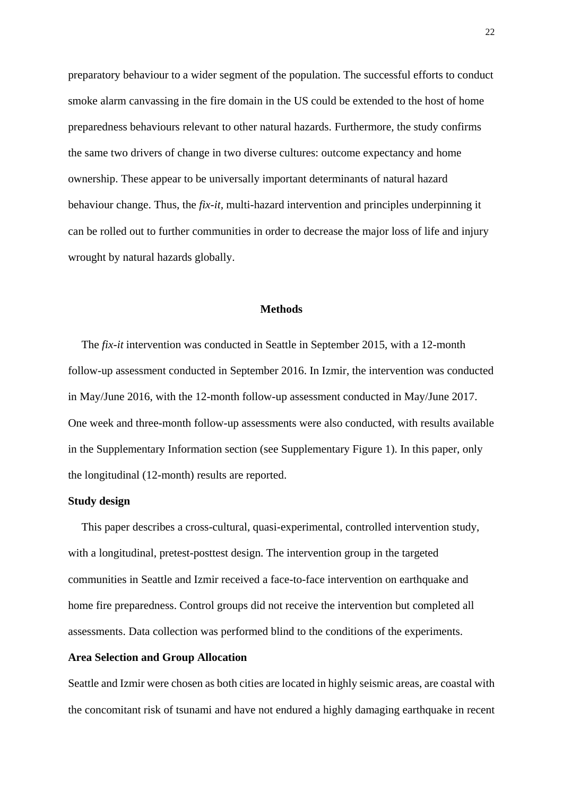preparatory behaviour to a wider segment of the population. The successful efforts to conduct smoke alarm canvassing in the fire domain in the US could be extended to the host of home preparedness behaviours relevant to other natural hazards. Furthermore, the study confirms the same two drivers of change in two diverse cultures: outcome expectancy and home ownership. These appear to be universally important determinants of natural hazard behaviour change. Thus, the *fix-it,* multi-hazard intervention and principles underpinning it can be rolled out to further communities in order to decrease the major loss of life and injury wrought by natural hazards globally.

## **Methods**

The *fix-it* intervention was conducted in Seattle in September 2015, with a 12-month follow-up assessment conducted in September 2016. In Izmir, the intervention was conducted in May/June 2016, with the 12-month follow-up assessment conducted in May/June 2017. One week and three-month follow-up assessments were also conducted, with results available in the Supplementary Information section (see Supplementary Figure 1). In this paper, only the longitudinal (12-month) results are reported.

## **Study design**

This paper describes a cross-cultural, quasi-experimental, controlled intervention study, with a longitudinal, pretest-posttest design. The intervention group in the targeted communities in Seattle and Izmir received a face-to-face intervention on earthquake and home fire preparedness. Control groups did not receive the intervention but completed all assessments. Data collection was performed blind to the conditions of the experiments.

## **Area Selection and Group Allocation**

Seattle and Izmir were chosen as both cities are located in highly seismic areas, are coastal with the concomitant risk of tsunami and have not endured a highly damaging earthquake in recent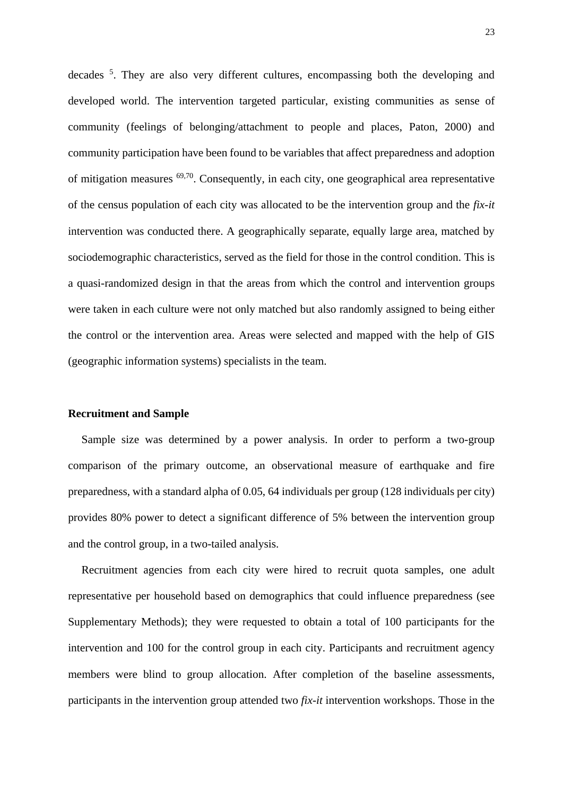decades <sup>5</sup>. They are also very different cultures, encompassing both the developing and developed world. The intervention targeted particular, existing communities as sense of community (feelings of belonging/attachment to people and places, Paton, 2000) and community participation have been found to be variables that affect preparedness and adoption of mitigation measures 69,70. Consequently, in each city, one geographical area representative of the census population of each city was allocated to be the intervention group and the *fix-it* intervention was conducted there. A geographically separate, equally large area, matched by sociodemographic characteristics, served as the field for those in the control condition. This is a quasi-randomized design in that the areas from which the control and intervention groups were taken in each culture were not only matched but also randomly assigned to being either the control or the intervention area. Areas were selected and mapped with the help of GIS (geographic information systems) specialists in the team.

## **Recruitment and Sample**

Sample size was determined by a power analysis. In order to perform a two-group comparison of the primary outcome, an observational measure of earthquake and fire preparedness, with a standard alpha of 0.05, 64 individuals per group (128 individuals per city) provides 80% power to detect a significant difference of 5% between the intervention group and the control group, in a two-tailed analysis.

Recruitment agencies from each city were hired to recruit quota samples, one adult representative per household based on demographics that could influence preparedness (see Supplementary Methods); they were requested to obtain a total of 100 participants for the intervention and 100 for the control group in each city. Participants and recruitment agency members were blind to group allocation. After completion of the baseline assessments, participants in the intervention group attended two *fix-it* intervention workshops. Those in the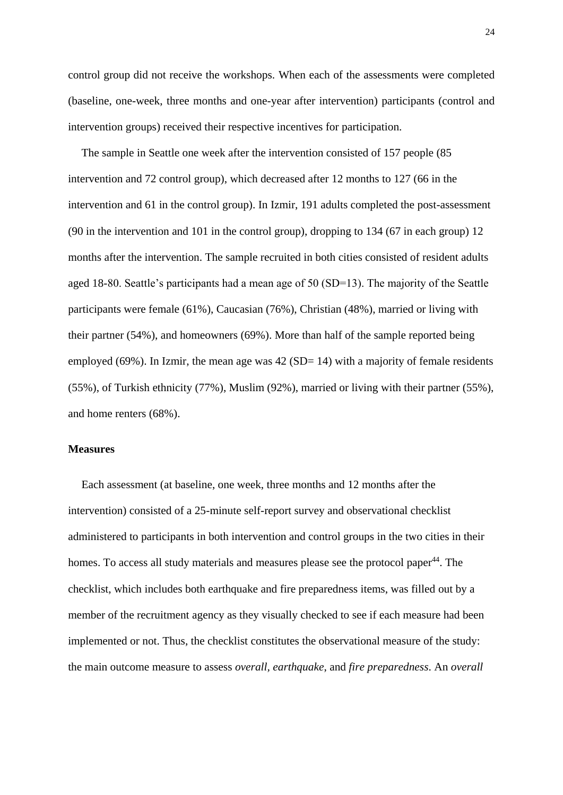control group did not receive the workshops. When each of the assessments were completed (baseline, one-week, three months and one-year after intervention) participants (control and intervention groups) received their respective incentives for participation.

The sample in Seattle one week after the intervention consisted of 157 people (85 intervention and 72 control group), which decreased after 12 months to 127 (66 in the intervention and 61 in the control group). In Izmir, 191 adults completed the post-assessment (90 in the intervention and 101 in the control group), dropping to 134 (67 in each group) 12 months after the intervention. The sample recruited in both cities consisted of resident adults aged 18-80. Seattle's participants had a mean age of 50 (SD=13). The majority of the Seattle participants were female (61%), Caucasian (76%), Christian (48%), married or living with their partner (54%), and homeowners (69%). More than half of the sample reported being employed (69%). In Izmir, the mean age was  $42$  (SD= 14) with a majority of female residents (55%), of Turkish ethnicity (77%), Muslim (92%), married or living with their partner (55%), and home renters (68%).

## **Measures**

Each assessment (at baseline, one week, three months and 12 months after the intervention) consisted of a 25-minute self-report survey and observational checklist administered to participants in both intervention and control groups in the two cities in their homes. To access all study materials and measures please see the protocol paper<sup>44</sup>. The checklist, which includes both earthquake and fire preparedness items, was filled out by a member of the recruitment agency as they visually checked to see if each measure had been implemented or not. Thus, the checklist constitutes the observational measure of the study: the main outcome measure to assess *overall, earthquake*, and *fire preparedness*. An *overall*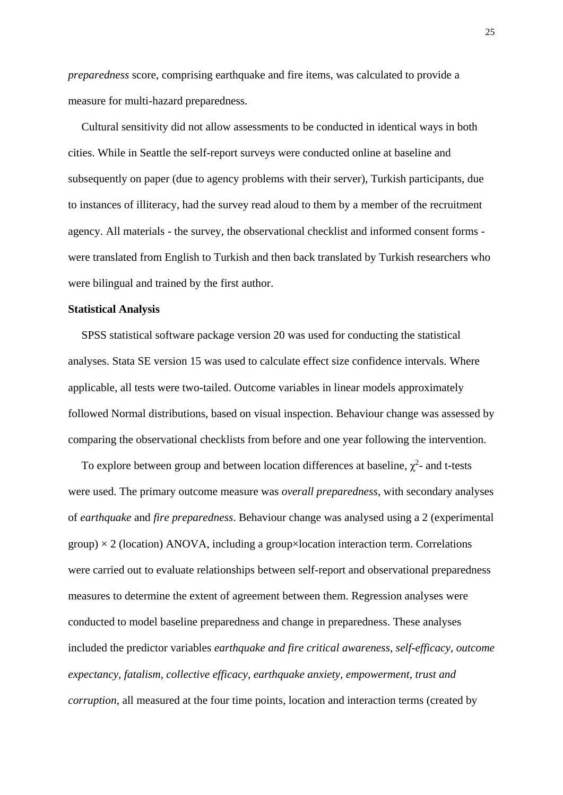*preparedness* score, comprising earthquake and fire items, was calculated to provide a measure for multi-hazard preparedness.

Cultural sensitivity did not allow assessments to be conducted in identical ways in both cities. While in Seattle the self-report surveys were conducted online at baseline and subsequently on paper (due to agency problems with their server), Turkish participants, due to instances of illiteracy, had the survey read aloud to them by a member of the recruitment agency. All materials - the survey, the observational checklist and informed consent forms were translated from English to Turkish and then back translated by Turkish researchers who were bilingual and trained by the first author.

#### **Statistical Analysis**

SPSS statistical software package version 20 was used for conducting the statistical analyses. Stata SE version 15 was used to calculate effect size confidence intervals. Where applicable, all tests were two-tailed. Outcome variables in linear models approximately followed Normal distributions, based on visual inspection. Behaviour change was assessed by comparing the observational checklists from before and one year following the intervention.

To explore between group and between location differences at baseline,  $\chi^2$ - and t-tests were used. The primary outcome measure was *overall preparedness*, with secondary analyses of *earthquake* and *fire preparedness*. Behaviour change was analysed using a 2 (experimental  $\gamma$ group) × 2 (location) ANOVA, including a group×location interaction term. Correlations were carried out to evaluate relationships between self-report and observational preparedness measures to determine the extent of agreement between them. Regression analyses were conducted to model baseline preparedness and change in preparedness. These analyses included the predictor variables *earthquake and fire critical awareness*, *self-efficacy, outcome expectancy, fatalism, collective efficacy, earthquake anxiety, empowerment, trust and corruption*, all measured at the four time points, location and interaction terms (created by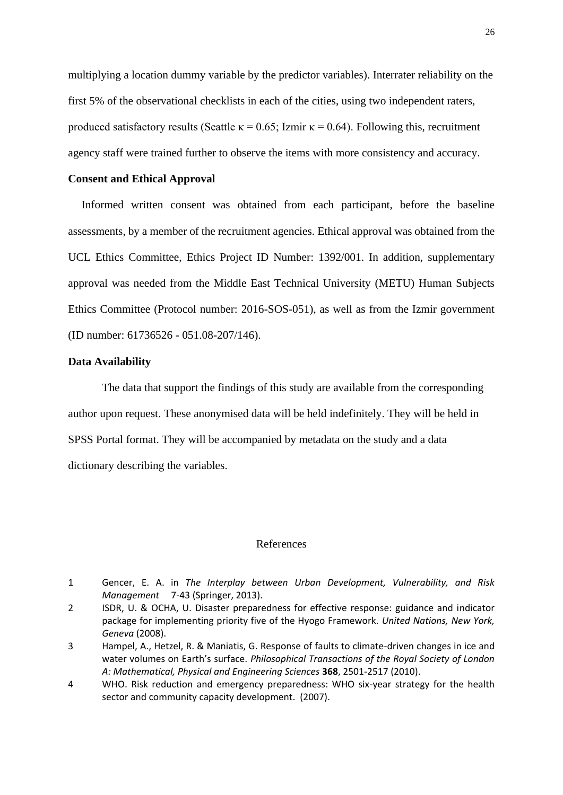multiplying a location dummy variable by the predictor variables). Interrater reliability on the first 5% of the observational checklists in each of the cities, using two independent raters, produced satisfactory results (Seattle  $\kappa = 0.65$ ; Izmir  $\kappa = 0.64$ ). Following this, recruitment agency staff were trained further to observe the items with more consistency and accuracy.

## **Consent and Ethical Approval**

Informed written consent was obtained from each participant, before the baseline assessments, by a member of the recruitment agencies. Ethical approval was obtained from the UCL Ethics Committee, Ethics Project ID Number: 1392/001. In addition, supplementary approval was needed from the Middle East Technical University (METU) Human Subjects Ethics Committee (Protocol number: 2016-SOS-051), as well as from the Izmir government (ID number: 61736526 - 051.08-207/146).

## **Data Availability**

The data that support the findings of this study are available from the corresponding author upon request. These anonymised data will be held indefinitely. They will be held in SPSS Portal format. They will be accompanied by metadata on the study and a data dictionary describing the variables.

#### References

<sup>1</sup> Gencer, E. A. in *The Interplay between Urban Development, Vulnerability, and Risk Management* 7-43 (Springer, 2013).

<sup>2</sup> ISDR, U. & OCHA, U. Disaster preparedness for effective response: guidance and indicator package for implementing priority five of the Hyogo Framework. *United Nations, New York, Geneva* (2008).

<sup>3</sup> Hampel, A., Hetzel, R. & Maniatis, G. Response of faults to climate-driven changes in ice and water volumes on Earth's surface. *Philosophical Transactions of the Royal Society of London A: Mathematical, Physical and Engineering Sciences* **368**, 2501-2517 (2010).

<sup>4</sup> WHO. Risk reduction and emergency preparedness: WHO six-year strategy for the health sector and community capacity development. (2007).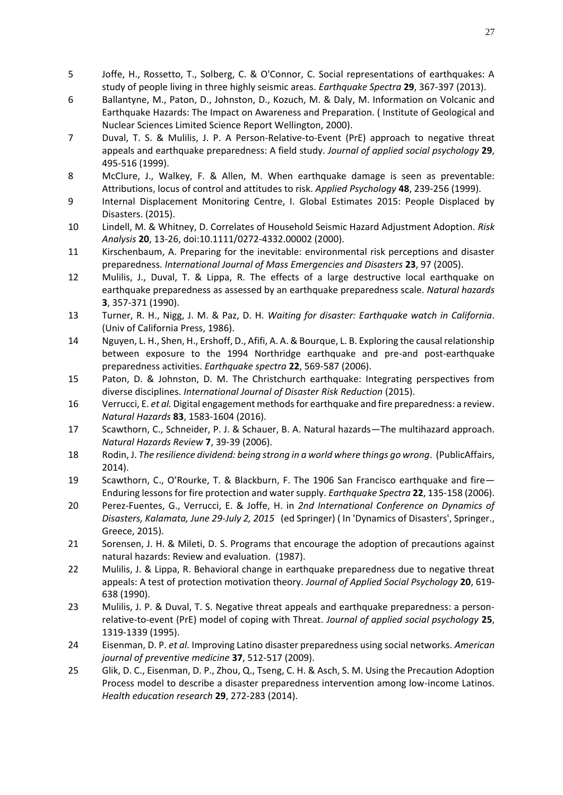- 5 Joffe, H., Rossetto, T., Solberg, C. & O'Connor, C. Social representations of earthquakes: A study of people living in three highly seismic areas. *Earthquake Spectra* **29**, 367-397 (2013).
- 6 Ballantyne, M., Paton, D., Johnston, D., Kozuch, M. & Daly, M. Information on Volcanic and Earthquake Hazards: The Impact on Awareness and Preparation. ( Institute of Geological and Nuclear Sciences Limited Science Report Wellington, 2000).
- 7 Duval, T. S. & Mulilis, J. P. A Person‐Relative‐to‐Event (PrE) approach to negative threat appeals and earthquake preparedness: A field study. *Journal of applied social psychology* **29**, 495-516 (1999).
- 8 McClure, J., Walkey, F. & Allen, M. When earthquake damage is seen as preventable: Attributions, locus of control and attitudes to risk. *Applied Psychology* **48**, 239-256 (1999).
- 9 Internal Displacement Monitoring Centre, I. Global Estimates 2015: People Displaced by Disasters. (2015).
- 10 Lindell, M. & Whitney, D. Correlates of Household Seismic Hazard Adjustment Adoption. *Risk Analysis* **20**, 13-26, doi:10.1111/0272-4332.00002 (2000).
- 11 Kirschenbaum, A. Preparing for the inevitable: environmental risk perceptions and disaster preparedness. *International Journal of Mass Emergencies and Disasters* **23**, 97 (2005).
- 12 Mulilis, J., Duval, T. & Lippa, R. The effects of a large destructive local earthquake on earthquake preparedness as assessed by an earthquake preparedness scale. *Natural hazards* **3**, 357-371 (1990).
- 13 Turner, R. H., Nigg, J. M. & Paz, D. H. *Waiting for disaster: Earthquake watch in California*. (Univ of California Press, 1986).
- 14 Nguyen, L. H., Shen, H., Ershoff, D., Afifi, A. A. & Bourque, L. B. Exploring the causal relationship between exposure to the 1994 Northridge earthquake and pre-and post-earthquake preparedness activities. *Earthquake spectra* **22**, 569-587 (2006).
- 15 Paton, D. & Johnston, D. M. The Christchurch earthquake: Integrating perspectives from diverse disciplines. *International Journal of Disaster Risk Reduction* (2015).
- 16 Verrucci, E. *et al.* Digital engagement methods for earthquake and fire preparedness: a review. *Natural Hazards* **83**, 1583-1604 (2016).
- 17 Scawthorn, C., Schneider, P. J. & Schauer, B. A. Natural hazards—The multihazard approach. *Natural Hazards Review* **7**, 39-39 (2006).
- 18 Rodin, J. *The resilience dividend: being strong in a world where things go wrong*. (PublicAffairs, 2014).
- 19 Scawthorn, C., O'Rourke, T. & Blackburn, F. The 1906 San Francisco earthquake and fire— Enduring lessons for fire protection and water supply. *Earthquake Spectra* **22**, 135-158 (2006).
- 20 Perez-Fuentes, G., Verrucci, E. & Joffe, H. in *2nd International Conference on Dynamics of Disasters, Kalamata, June 29-July 2, 2015* (ed Springer) ( In 'Dynamics of Disasters', Springer., Greece, 2015).
- 21 Sorensen, J. H. & Mileti, D. S. Programs that encourage the adoption of precautions against natural hazards: Review and evaluation. (1987).
- 22 Mulilis, J. & Lippa, R. Behavioral change in earthquake preparedness due to negative threat appeals: A test of protection motivation theory. *Journal of Applied Social Psychology* **20**, 619- 638 (1990).
- 23 Mulilis, J. P. & Duval, T. S. Negative threat appeals and earthquake preparedness: a personrelative‐to‐event (PrE) model of coping with Threat. *Journal of applied social psychology* **25**, 1319-1339 (1995).
- 24 Eisenman, D. P. *et al.* Improving Latino disaster preparedness using social networks. *American journal of preventive medicine* **37**, 512-517 (2009).
- 25 Glik, D. C., Eisenman, D. P., Zhou, Q., Tseng, C. H. & Asch, S. M. Using the Precaution Adoption Process model to describe a disaster preparedness intervention among low-income Latinos. *Health education research* **29**, 272-283 (2014).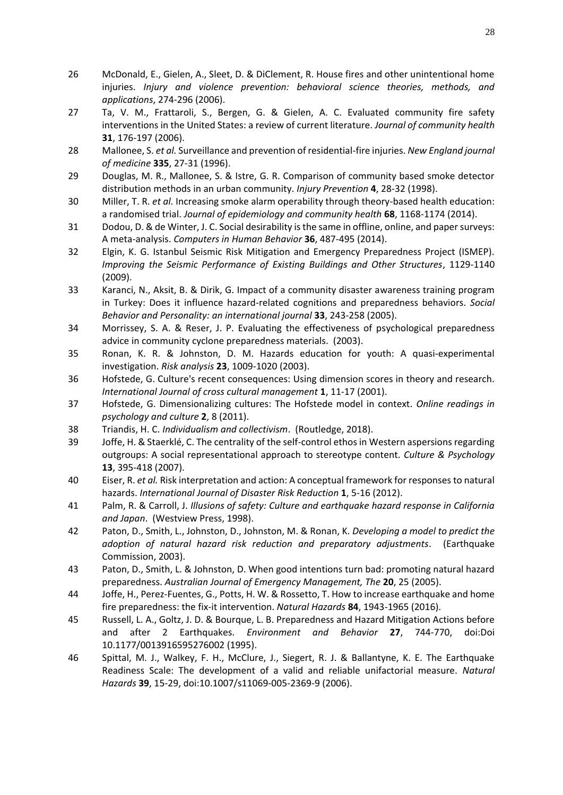- 26 McDonald, E., Gielen, A., Sleet, D. & DiClement, R. House fires and other unintentional home injuries. *Injury and violence prevention: behavioral science theories, methods, and applications*, 274-296 (2006).
- 27 Ta, V. M., Frattaroli, S., Bergen, G. & Gielen, A. C. Evaluated community fire safety interventions in the United States: a review of current literature. *Journal of community health* **31**, 176-197 (2006).
- 28 Mallonee, S. *et al.* Surveillance and prevention of residential-fire injuries. *New England journal of medicine* **335**, 27-31 (1996).
- 29 Douglas, M. R., Mallonee, S. & Istre, G. R. Comparison of community based smoke detector distribution methods in an urban community. *Injury Prevention* **4**, 28-32 (1998).
- 30 Miller, T. R. *et al.* Increasing smoke alarm operability through theory-based health education: a randomised trial. *Journal of epidemiology and community health* **68**, 1168-1174 (2014).
- 31 Dodou, D. & de Winter, J. C. Social desirability is the same in offline, online, and paper surveys: A meta-analysis. *Computers in Human Behavior* **36**, 487-495 (2014).
- 32 Elgin, K. G. Istanbul Seismic Risk Mitigation and Emergency Preparedness Project (ISMEP). *Improving the Seismic Performance of Existing Buildings and Other Structures*, 1129-1140 (2009).
- 33 Karanci, N., Aksit, B. & Dirik, G. Impact of a community disaster awareness training program in Turkey: Does it influence hazard-related cognitions and preparedness behaviors. *Social Behavior and Personality: an international journal* **33**, 243-258 (2005).
- 34 Morrissey, S. A. & Reser, J. P. Evaluating the effectiveness of psychological preparedness advice in community cyclone preparedness materials. (2003).
- 35 Ronan, K. R. & Johnston, D. M. Hazards education for youth: A quasi‐experimental investigation. *Risk analysis* **23**, 1009-1020 (2003).
- 36 Hofstede, G. Culture's recent consequences: Using dimension scores in theory and research. *International Journal of cross cultural management* **1**, 11-17 (2001).
- 37 Hofstede, G. Dimensionalizing cultures: The Hofstede model in context. *Online readings in psychology and culture* **2**, 8 (2011).
- 38 Triandis, H. C. *Individualism and collectivism*. (Routledge, 2018).
- 39 Joffe, H. & Staerklé, C. The centrality of the self-control ethos in Western aspersions regarding outgroups: A social representational approach to stereotype content. *Culture & Psychology* **13**, 395-418 (2007).
- 40 Eiser, R. *et al.* Risk interpretation and action: A conceptual framework for responses to natural hazards. *International Journal of Disaster Risk Reduction* **1**, 5-16 (2012).
- 41 Palm, R. & Carroll, J. *Illusions of safety: Culture and earthquake hazard response in California and Japan*. (Westview Press, 1998).
- 42 Paton, D., Smith, L., Johnston, D., Johnston, M. & Ronan, K. *Developing a model to predict the adoption of natural hazard risk reduction and preparatory adjustments*. (Earthquake Commission, 2003).
- 43 Paton, D., Smith, L. & Johnston, D. When good intentions turn bad: promoting natural hazard preparedness. *Australian Journal of Emergency Management, The* **20**, 25 (2005).
- 44 Joffe, H., Perez-Fuentes, G., Potts, H. W. & Rossetto, T. How to increase earthquake and home fire preparedness: the fix-it intervention. *Natural Hazards* **84**, 1943-1965 (2016).
- 45 Russell, L. A., Goltz, J. D. & Bourque, L. B. Preparedness and Hazard Mitigation Actions before and after 2 Earthquakes. *Environment and Behavior* **27**, 744-770, doi:Doi 10.1177/0013916595276002 (1995).
- 46 Spittal, M. J., Walkey, F. H., McClure, J., Siegert, R. J. & Ballantyne, K. E. The Earthquake Readiness Scale: The development of a valid and reliable unifactorial measure. *Natural Hazards* **39**, 15-29, doi:10.1007/s11069-005-2369-9 (2006).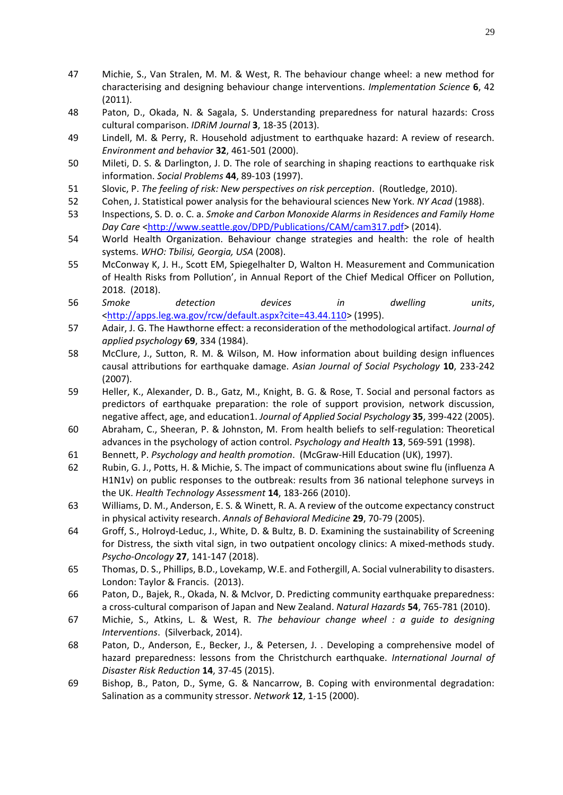- 47 Michie, S., Van Stralen, M. M. & West, R. The behaviour change wheel: a new method for characterising and designing behaviour change interventions. *Implementation Science* **6**, 42 (2011).
- 48 Paton, D., Okada, N. & Sagala, S. Understanding preparedness for natural hazards: Cross cultural comparison. *IDRiM Journal* **3**, 18-35 (2013).
- 49 Lindell, M. & Perry, R. Household adjustment to earthquake hazard: A review of research. *Environment and behavior* **32**, 461-501 (2000).
- 50 Mileti, D. S. & Darlington, J. D. The role of searching in shaping reactions to earthquake risk information. *Social Problems* **44**, 89-103 (1997).
- 51 Slovic, P. *The feeling of risk: New perspectives on risk perception*. (Routledge, 2010).
- 52 Cohen, J. Statistical power analysis for the behavioural sciences New York. *NY Acad* (1988).
- 53 Inspections, S. D. o. C. a. *Smoke and Carbon Monoxide Alarms in Residences and Family Home Day Care* [<http://www.seattle.gov/DPD/Publications/CAM/cam317.pdf>](http://www.seattle.gov/DPD/Publications/CAM/cam317.pdf) (2014).
- 54 World Health Organization. Behaviour change strategies and health: the role of health systems. *WHO: Tbilisi, Georgia, USA* (2008).
- 55 McConway K, J. H., Scott EM, Spiegelhalter D, Walton H. Measurement and Communication of Health Risks from Pollution', in Annual Report of the Chief Medical Officer on Pollution, 2018. (2018).
- 56 *Smoke detection devices in dwelling units*, [<http://apps.leg.wa.gov/rcw/default.aspx?cite=43.44.110>](http://apps.leg.wa.gov/rcw/default.aspx?cite=43.44.110) (1995).
- 57 Adair, J. G. The Hawthorne effect: a reconsideration of the methodological artifact. *Journal of applied psychology* **69**, 334 (1984).
- 58 McClure, J., Sutton, R. M. & Wilson, M. How information about building design influences causal attributions for earthquake damage. *Asian Journal of Social Psychology* **10**, 233-242 (2007).
- 59 Heller, K., Alexander, D. B., Gatz, M., Knight, B. G. & Rose, T. Social and personal factors as predictors of earthquake preparation: the role of support provision, network discussion, negative affect, age, and education1. *Journal of Applied Social Psychology* **35**, 399-422 (2005).
- 60 Abraham, C., Sheeran, P. & Johnston, M. From health beliefs to self-regulation: Theoretical advances in the psychology of action control. *Psychology and Health* **13**, 569-591 (1998).
- 61 Bennett, P. *Psychology and health promotion*. (McGraw-Hill Education (UK), 1997).
- 62 Rubin, G. J., Potts, H. & Michie, S. The impact of communications about swine flu (influenza A H1N1v) on public responses to the outbreak: results from 36 national telephone surveys in the UK. *Health Technology Assessment* **14**, 183-266 (2010).
- 63 Williams, D. M., Anderson, E. S. & Winett, R. A. A review of the outcome expectancy construct in physical activity research. *Annals of Behavioral Medicine* **29**, 70-79 (2005).
- 64 Groff, S., Holroyd‐Leduc, J., White, D. & Bultz, B. D. Examining the sustainability of Screening for Distress, the sixth vital sign, in two outpatient oncology clinics: A mixed-methods study. *Psycho‐Oncology* **27**, 141-147 (2018).
- 65 Thomas, D. S., Phillips, B.D., Lovekamp, W.E. and Fothergill, A. Social vulnerability to disasters. London: Taylor & Francis. (2013).
- 66 Paton, D., Bajek, R., Okada, N. & McIvor, D. Predicting community earthquake preparedness: a cross-cultural comparison of Japan and New Zealand. *Natural Hazards* **54**, 765-781 (2010).
- 67 Michie, S., Atkins, L. & West, R. *The behaviour change wheel : a guide to designing Interventions*. (Silverback, 2014).
- 68 Paton, D., Anderson, E., Becker, J., & Petersen, J. . Developing a comprehensive model of hazard preparedness: lessons from the Christchurch earthquake. *International Journal of Disaster Risk Reduction* **14**, 37-45 (2015).
- 69 Bishop, B., Paton, D., Syme, G. & Nancarrow, B. Coping with environmental degradation: Salination as a community stressor. *Network* **12**, 1-15 (2000).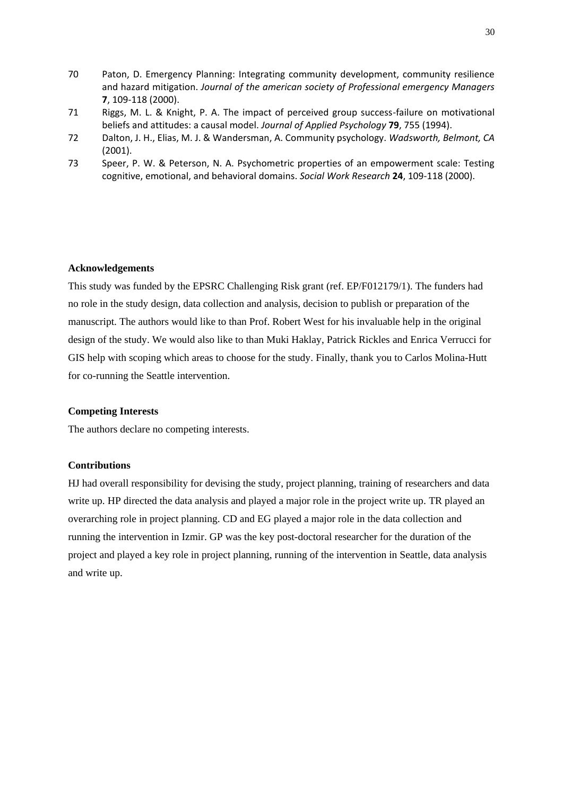- 70 Paton, D. Emergency Planning: Integrating community development, community resilience and hazard mitigation. *Journal of the american society of Professional emergency Managers* **7**, 109-118 (2000).
- 71 Riggs, M. L. & Knight, P. A. The impact of perceived group success-failure on motivational beliefs and attitudes: a causal model. *Journal of Applied Psychology* **79**, 755 (1994).
- 72 Dalton, J. H., Elias, M. J. & Wandersman, A. Community psychology. *Wadsworth, Belmont, CA* (2001).
- 73 Speer, P. W. & Peterson, N. A. Psychometric properties of an empowerment scale: Testing cognitive, emotional, and behavioral domains. *Social Work Research* **24**, 109-118 (2000).

## **Acknowledgements**

This study was funded by the EPSRC Challenging Risk grant (ref. EP/F012179/1). The funders had no role in the study design, data collection and analysis, decision to publish or preparation of the manuscript. The authors would like to than Prof. Robert West for his invaluable help in the original design of the study. We would also like to than Muki Haklay, Patrick Rickles and Enrica Verrucci for GIS help with scoping which areas to choose for the study. Finally, thank you to Carlos Molina-Hutt for co-running the Seattle intervention.

## **Competing Interests**

The authors declare no competing interests.

### **Contributions**

HJ had overall responsibility for devising the study, project planning, training of researchers and data write up. HP directed the data analysis and played a major role in the project write up. TR played an overarching role in project planning. CD and EG played a major role in the data collection and running the intervention in Izmir. GP was the key post-doctoral researcher for the duration of the project and played a key role in project planning, running of the intervention in Seattle, data analysis and write up.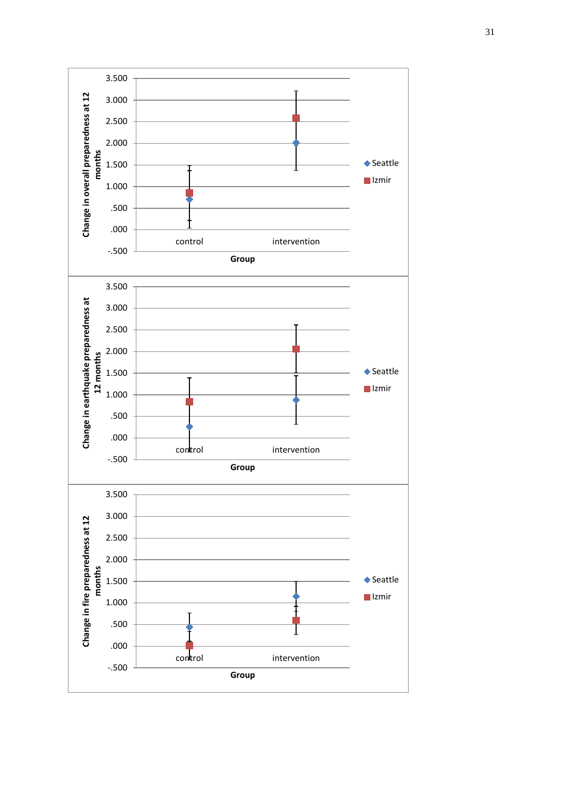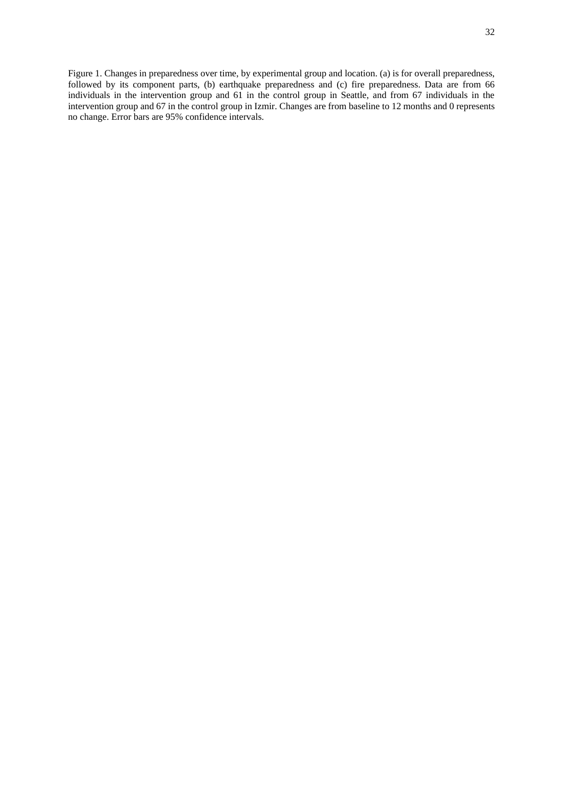Figure 1. Changes in preparedness over time, by experimental group and location. (a) is for overall preparedness, followed by its component parts, (b) earthquake preparedness and (c) fire preparedness. Data are from 66 individuals in the intervention group and 61 in the control group in Seattle, and from 67 individuals in the intervention group and 67 in the control group in Izmir. Changes are from baseline to 12 months and 0 represents no change. Error bars are 95% confidence intervals.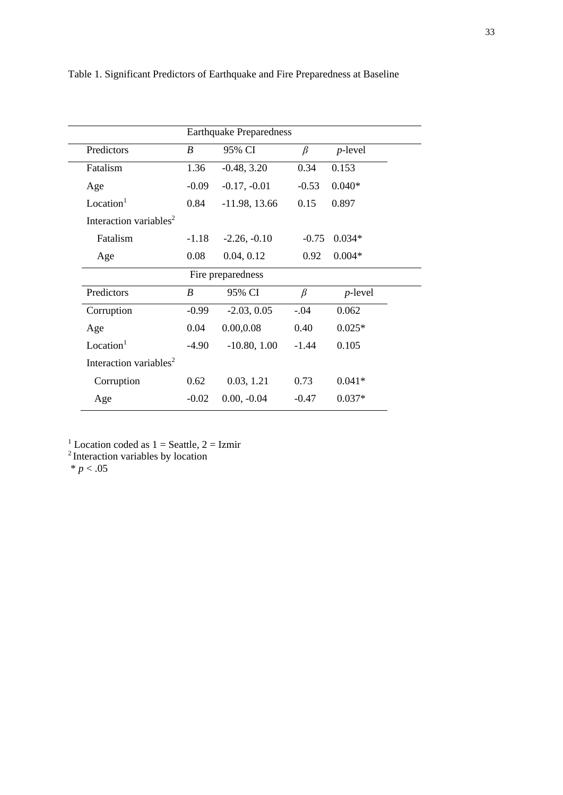| <b>Earthquake Preparedness</b>     |         |                   |         |            |  |
|------------------------------------|---------|-------------------|---------|------------|--|
| Predictors                         | B       | 95% CI            | $\beta$ | $p$ -level |  |
| Fatalism                           | 1.36    | $-0.48, 3.20$     | 0.34    | 0.153      |  |
| Age                                | $-0.09$ | $-0.17, -0.01$    | $-0.53$ | $0.040*$   |  |
| Location <sup>1</sup>              | 0.84    | $-11.98, 13.66$   | 0.15    | 0.897      |  |
| Interaction variables <sup>2</sup> |         |                   |         |            |  |
| Fatalism                           | $-1.18$ | $-2.26, -0.10$    | $-0.75$ | $0.034*$   |  |
| Age                                | 0.08    | 0.04, 0.12        | 0.92    | $0.004*$   |  |
|                                    |         | Fire preparedness |         |            |  |
| Predictors                         | B       | 95% CI            | $\beta$ | $p$ -level |  |
| Corruption                         | $-0.99$ | $-2.03, 0.05$     | $-.04$  | 0.062      |  |
| Age                                | 0.04    | 0.00, 0.08        | 0.40    | $0.025*$   |  |
| Location <sup>1</sup>              | $-4.90$ | $-10.80, 1.00$    | $-1.44$ | 0.105      |  |
| Interaction variables <sup>2</sup> |         |                   |         |            |  |
| Corruption                         | 0.62    | 0.03, 1.21        | 0.73    | $0.041*$   |  |
| Age                                | $-0.02$ | $0.00, -0.04$     | $-0.47$ | $0.037*$   |  |

Table 1. Significant Predictors of Earthquake and Fire Preparedness at Baseline

<sup>1</sup> Location coded as  $1 =$  Seattle,  $2 =$  Izmir

<sup>2</sup> Interaction variables by location

 $* p < .05$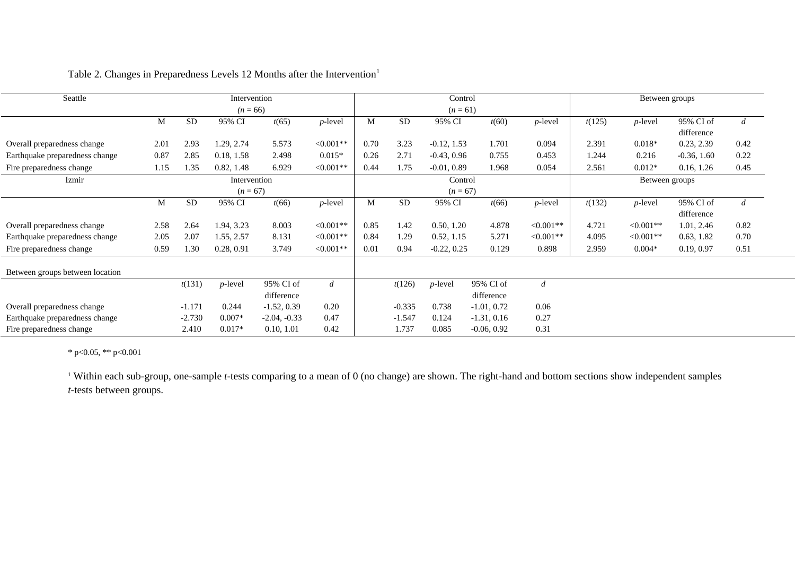| Seattle                         |      |           | Intervention |                |                |      |           | Control       |               |                  |        | Between groups |                         |                |
|---------------------------------|------|-----------|--------------|----------------|----------------|------|-----------|---------------|---------------|------------------|--------|----------------|-------------------------|----------------|
|                                 |      |           | $(n = 66)$   |                |                |      |           | $(n = 61)$    |               |                  |        |                |                         |                |
|                                 | М    | <b>SD</b> | 95% CI       | t(65)          | $p$ -level     | M    | <b>SD</b> | 95% CI        | t(60)         | $p$ -level       | t(125) | $p$ -level     | 95% CI of<br>difference | d              |
| Overall preparedness change     | 2.01 | 2.93      | 1.29, 2.74   | 5.573          | $<0.001**$     | 0.70 | 3.23      | $-0.12, 1.53$ | 1.701         | 0.094            | 2.391  | $0.018*$       | 0.23, 2.39              | 0.42           |
| Earthquake preparedness change  | 0.87 | 2.85      | 0.18, 1.58   | 2.498          | $0.015*$       | 0.26 | 2.71      | $-0.43, 0.96$ | 0.755         | 0.453            | 1.244  | 0.216          | $-0.36, 1.60$           | 0.22           |
| Fire preparedness change        | 1.15 | 1.35      | 0.82, 1.48   | 6.929          | $<0.001**$     | 0.44 | 1.75      | $-0.01, 0.89$ | 1.968         | 0.054            | 2.561  | $0.012*$       | 0.16, 1.26              | 0.45           |
| Izmir                           |      |           | Intervention |                |                |      |           | Control       |               |                  |        | Between groups |                         |                |
|                                 |      |           | $(n = 67)$   |                |                |      |           | $(n = 67)$    |               |                  |        |                |                         |                |
|                                 | M    | <b>SD</b> | 95% CI       | t(66)          | $p$ -level     | M    | <b>SD</b> | 95% CI        | t(66)         | $p$ -level       | t(132) | $p$ -level     | 95% CI of               | $\overline{d}$ |
|                                 |      |           |              |                |                |      |           |               |               |                  |        |                | difference              |                |
| Overall preparedness change     | 2.58 | 2.64      | 1.94, 3.23   | 8.003          | $<0.001**$     | 0.85 | 1.42      | 0.50, 1.20    | 4.878         | $<0.001**$       | 4.721  | $<0.001**$     | 1.01, 2.46              | 0.82           |
| Earthquake preparedness change  | 2.05 | 2.07      | 1.55, 2.57   | 8.131          | $<0.001**$     | 0.84 | 1.29      | 0.52, 1.15    | 5.271         | $<0.001**$       | 4.095  | $<0.001**$     | 0.63, 1.82              | 0.70           |
| Fire preparedness change        | 0.59 | 1.30      | 0.28, 0.91   | 3.749          | $<0.001**$     | 0.01 | 0.94      | $-0.22, 0.25$ | 0.129         | 0.898            | 2.959  | $0.004*$       | 0.19, 0.97              | 0.51           |
| Between groups between location |      |           |              |                |                |      |           |               |               |                  |        |                |                         |                |
|                                 |      | t(131)    | $p$ -level   | 95% CI of      | $\overline{d}$ |      | t(126)    | $p$ -level    | 95% CI of     | $\boldsymbol{d}$ |        |                |                         |                |
|                                 |      |           |              | difference     |                |      |           |               | difference    |                  |        |                |                         |                |
| Overall preparedness change     |      | $-1.171$  | 0.244        | $-1.52, 0.39$  | 0.20           |      | $-0.335$  | 0.738         | $-1.01, 0.72$ | 0.06             |        |                |                         |                |
| Earthquake preparedness change  |      | $-2.730$  | $0.007*$     | $-2.04, -0.33$ | 0.47           |      | $-1.547$  | 0.124         | $-1.31, 0.16$ | 0.27             |        |                |                         |                |
| Fire preparedness change        |      | 2.410     | $0.017*$     | 0.10, 1.01     | 0.42           |      | 1.737     | 0.085         | $-0.06, 0.92$ | 0.31             |        |                |                         |                |

Table 2. Changes in Preparedness Levels 12 Months after the Intervention<sup>1</sup>

\* p<0.05, \*\* p<0.001

<sup>1</sup> Within each sub-group, one-sample *t*-tests comparing to a mean of 0 (no change) are shown. The right-hand and bottom sections show independent samples *t*-tests between groups.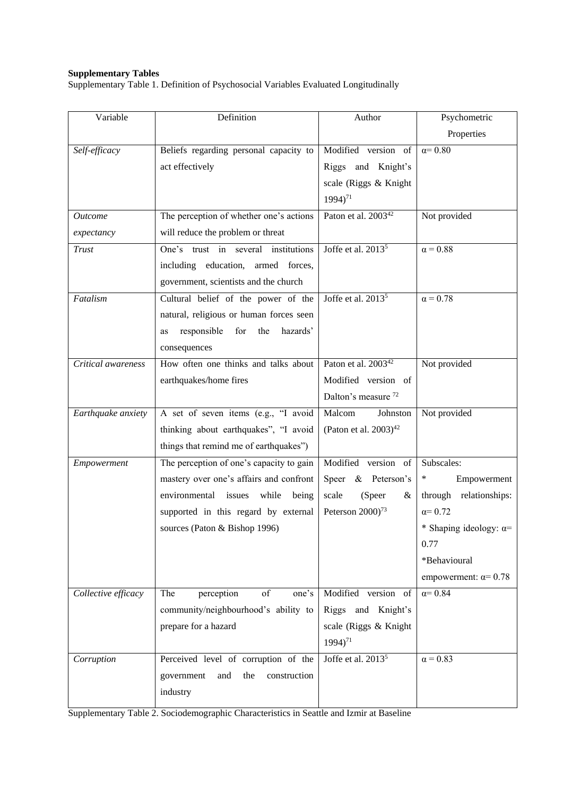#### **Supplementary Tables**

Supplementary Table 1. Definition of Psychosocial Variables Evaluated Longitudinally

| Variable            | Definition                                  | Author                          | Psychometric                  |
|---------------------|---------------------------------------------|---------------------------------|-------------------------------|
|                     |                                             |                                 | Properties                    |
| Self-efficacy       | Beliefs regarding personal capacity to      | Modified version of             | $\alpha = 0.80$               |
|                     | act effectively                             | Riggs and Knight's              |                               |
|                     |                                             | scale (Riggs & Knight           |                               |
|                     |                                             | 1994) <sup>71</sup>             |                               |
| <b>Outcome</b>      | The perception of whether one's actions     | Paton et al. 2003 <sup>42</sup> | Not provided                  |
| expectancy          | will reduce the problem or threat           |                                 |                               |
| <b>Trust</b>        | One's trust in several institutions         | Joffe et al. 2013 <sup>5</sup>  | $\alpha = 0.88$               |
|                     | including education, armed forces,          |                                 |                               |
|                     | government, scientists and the church       |                                 |                               |
| Fatalism            | Cultural belief of the power of the         | Joffe et al. 2013 <sup>5</sup>  | $\alpha = 0.78$               |
|                     | natural, religious or human forces seen     |                                 |                               |
|                     | for<br>the<br>hazards'<br>responsible<br>as |                                 |                               |
|                     | consequences                                |                                 |                               |
| Critical awareness  | How often one thinks and talks about        | Paton et al. 2003 <sup>42</sup> | Not provided                  |
|                     | earthquakes/home fires                      | Modified version of             |                               |
|                     |                                             | Dalton's measure <sup>72</sup>  |                               |
| Earthquake anxiety  | A set of seven items (e.g., "I avoid        | Malcom<br>Johnston              | Not provided                  |
|                     | thinking about earthquakes", "I avoid       | (Paton et al. $2003)^{42}$      |                               |
|                     | things that remind me of earthquakes")      |                                 |                               |
| Empowerment         | The perception of one's capacity to gain    | Modified version of             | Subscales:                    |
|                     | mastery over one's affairs and confront     | Speer & Peterson's              | Empowerment<br>∗              |
|                     | environmental issues<br>while<br>being      | (Speer<br>scale<br>&            | through relationships:        |
|                     | supported in this regard by external        | Peterson 2000) <sup>73</sup>    | $\alpha = 0.72$               |
|                     | sources (Paton & Bishop 1996)               |                                 | * Shaping ideology: $\alpha=$ |
|                     |                                             |                                 | 0.77                          |
|                     |                                             |                                 | *Behavioural                  |
|                     |                                             |                                 | empowerment: $\alpha$ = 0.78  |
| Collective efficacy | of<br>The<br>perception<br>one's            | Modified version of             | $\alpha = 0.84$               |
|                     | community/neighbourhood's ability to        | Riggs and Knight's              |                               |
|                     | prepare for a hazard                        | scale (Riggs & Knight           |                               |
|                     |                                             | $1994$ <sup>71</sup>            |                               |
| Corruption          | Perceived level of corruption of the        | Joffe et al. 2013 <sup>5</sup>  | $\alpha = 0.83$               |
|                     | government<br>construction<br>and<br>the    |                                 |                               |
|                     | industry                                    |                                 |                               |
|                     |                                             |                                 |                               |

Supplementary Table 2. Sociodemographic Characteristics in Seattle and Izmir at Baseline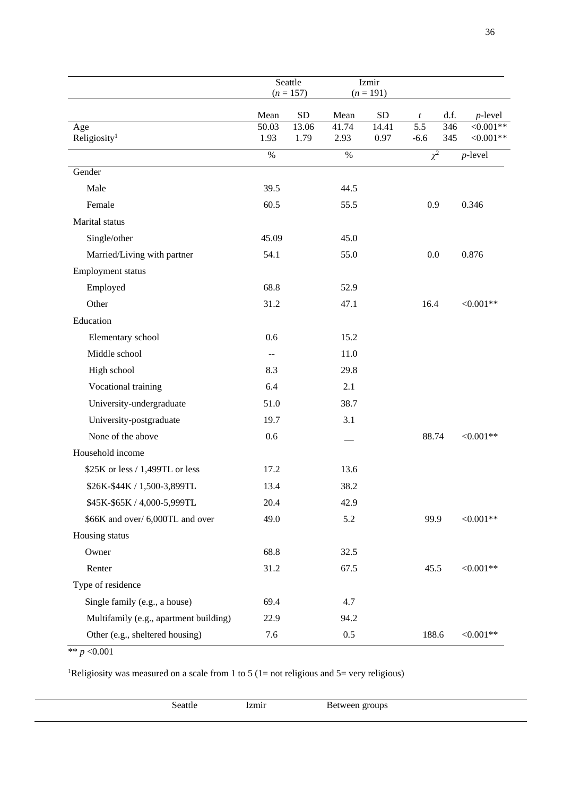|                                        | Seattle<br>$(n = 157)$ |               |               | Izmir<br>$(n = 191)$ |                  |            |                          |
|----------------------------------------|------------------------|---------------|---------------|----------------------|------------------|------------|--------------------------|
|                                        | Mean                   | <b>SD</b>     | Mean          | <b>SD</b>            | $\boldsymbol{t}$ | d.f.       | $p$ -level               |
| Age<br>Religiosity <sup>1</sup>        | 50.03<br>1.93          | 13.06<br>1.79 | 41.74<br>2.93 | 14.41<br>0.97        | 5.5<br>$-6.6$    | 346<br>345 | $<0.001**$<br>$<0.001**$ |
|                                        | $\%$                   |               | $\%$          |                      | $\chi^2$         |            | $p$ -level               |
| Gender                                 |                        |               |               |                      |                  |            |                          |
| Male                                   | 39.5                   |               | 44.5          |                      |                  |            |                          |
| Female                                 | 60.5                   |               | 55.5          |                      | 0.9              |            | 0.346                    |
| Marital status                         |                        |               |               |                      |                  |            |                          |
| Single/other                           | 45.09                  |               | 45.0          |                      |                  |            |                          |
| Married/Living with partner            | 54.1                   |               | 55.0          |                      | 0.0              |            | 0.876                    |
| Employment status                      |                        |               |               |                      |                  |            |                          |
| Employed                               | 68.8                   |               | 52.9          |                      |                  |            |                          |
| Other                                  | 31.2                   |               | 47.1          |                      | 16.4             |            | $<0.001**$               |
| Education                              |                        |               |               |                      |                  |            |                          |
| Elementary school                      | 0.6                    |               | 15.2          |                      |                  |            |                          |
| Middle school                          | --                     |               | 11.0          |                      |                  |            |                          |
| High school                            | 8.3                    |               | 29.8          |                      |                  |            |                          |
| Vocational training                    | 6.4                    |               | 2.1           |                      |                  |            |                          |
| University-undergraduate               | 51.0                   |               | 38.7          |                      |                  |            |                          |
| University-postgraduate                | 19.7                   |               | 3.1           |                      |                  |            |                          |
| None of the above                      | 0.6                    |               |               |                      | 88.74            |            | $<0.001**$               |
| Household income                       |                        |               |               |                      |                  |            |                          |
| \$25K or less / 1,499TL or less        | 17.2                   |               | 13.6          |                      |                  |            |                          |
| \$26K-\$44K / 1,500-3,899TL            | 13.4                   |               | 38.2          |                      |                  |            |                          |
| \$45K-\$65K / 4,000-5,999TL            | 20.4                   |               | 42.9          |                      |                  |            |                          |
| \$66K and over/ 6,000TL and over       | 49.0                   |               | 5.2           |                      | 99.9             |            | ${<}0.001**$             |
| Housing status                         |                        |               |               |                      |                  |            |                          |
| Owner                                  | 68.8                   |               | 32.5          |                      |                  |            |                          |
| Renter                                 | 31.2                   |               | 67.5          |                      | 45.5             |            | ${<}0.001**$             |
| Type of residence                      |                        |               |               |                      |                  |            |                          |
| Single family (e.g., a house)          | 69.4                   |               | 4.7           |                      |                  |            |                          |
| Multifamily (e.g., apartment building) | 22.9                   |               | 94.2          |                      |                  |            |                          |
| Other (e.g., sheltered housing)        | 7.6                    |               | 0.5           |                      | 188.6            |            | $<0.001**$               |

\*\* *p* <0.001

l.

<sup>1</sup>Religiosity was measured on a scale from 1 to 5 (1= not religious and 5= very religious)

| Seattle | izmir | Between groups |
|---------|-------|----------------|
|         |       |                |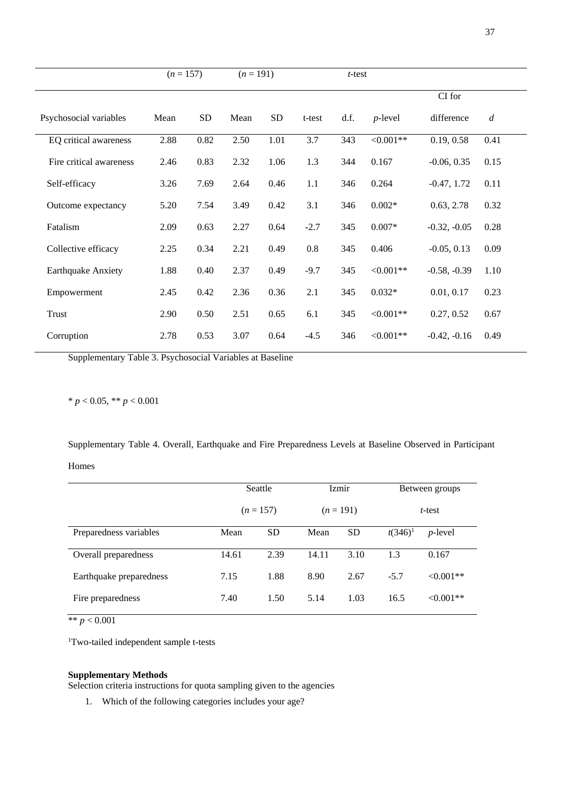|                           | $(n = 157)$ |           | $(n = 191)$ |           | $t$ -test |      |             |                |                  |
|---------------------------|-------------|-----------|-------------|-----------|-----------|------|-------------|----------------|------------------|
|                           |             |           |             |           |           |      |             | CI for         |                  |
| Psychosocial variables    | Mean        | <b>SD</b> | Mean        | <b>SD</b> | t-test    | d.f. | $p$ -level  | difference     | $\boldsymbol{d}$ |
| EQ critical awareness     | 2.88        | 0.82      | 2.50        | 1.01      | 3.7       | 343  | $< 0.001**$ | 0.19, 0.58     | 0.41             |
| Fire critical awareness   | 2.46        | 0.83      | 2.32        | 1.06      | 1.3       | 344  | 0.167       | $-0.06, 0.35$  | 0.15             |
| Self-efficacy             | 3.26        | 7.69      | 2.64        | 0.46      | 1.1       | 346  | 0.264       | $-0.47, 1.72$  | 0.11             |
| Outcome expectancy        | 5.20        | 7.54      | 3.49        | 0.42      | 3.1       | 346  | $0.002*$    | 0.63, 2.78     | 0.32             |
| Fatalism                  | 2.09        | 0.63      | 2.27        | 0.64      | $-2.7$    | 345  | $0.007*$    | $-0.32, -0.05$ | 0.28             |
| Collective efficacy       | 2.25        | 0.34      | 2.21        | 0.49      | 0.8       | 345  | 0.406       | $-0.05, 0.13$  | 0.09             |
| <b>Earthquake Anxiety</b> | 1.88        | 0.40      | 2.37        | 0.49      | $-9.7$    | 345  | $< 0.001**$ | $-0.58, -0.39$ | 1.10             |
| Empowerment               | 2.45        | 0.42      | 2.36        | 0.36      | 2.1       | 345  | $0.032*$    | 0.01, 0.17     | 0.23             |
| Trust                     | 2.90        | 0.50      | 2.51        | 0.65      | 6.1       | 345  | $<0.001**$  | 0.27, 0.52     | 0.67             |
| Corruption                | 2.78        | 0.53      | 3.07        | 0.64      | $-4.5$    | 346  | $<0.001**$  | $-0.42, -0.16$ | 0.49             |

Supplementary Table 3. Psychosocial Variables at Baseline

 $* p < 0.05, ** p < 0.001$ 

Supplementary Table 4. Overall, Earthquake and Fire Preparedness Levels at Baseline Observed in Participant Homes

|                         | Seattle |             | <i>Izmir</i> |             | Between groups |                 |  |
|-------------------------|---------|-------------|--------------|-------------|----------------|-----------------|--|
|                         |         | $(n = 157)$ |              | $(n = 191)$ |                | $t$ -test       |  |
| Preparedness variables  | Mean    | <b>SD</b>   | Mean         | <b>SD</b>   | $t(346)^1$     | <i>p</i> -level |  |
| Overall preparedness    | 14.61   | 2.39        | 14.11        | 3.10        | 1.3            | 0.167           |  |
| Earthquake preparedness | 7.15    | 1.88        | 8.90         | 2.67        | $-5.7$         | $< 0.001**$     |  |
| Fire preparedness       | 7.40    | 1.50        | 5.14         | 1.03        | 16.5           | $< 0.001**$     |  |

 $*$  *\* p* < 0.001

<sup>1</sup>Two-tailed independent sample t-tests

#### **Supplementary Methods**

Selection criteria instructions for quota sampling given to the agencies

1. Which of the following categories includes your age?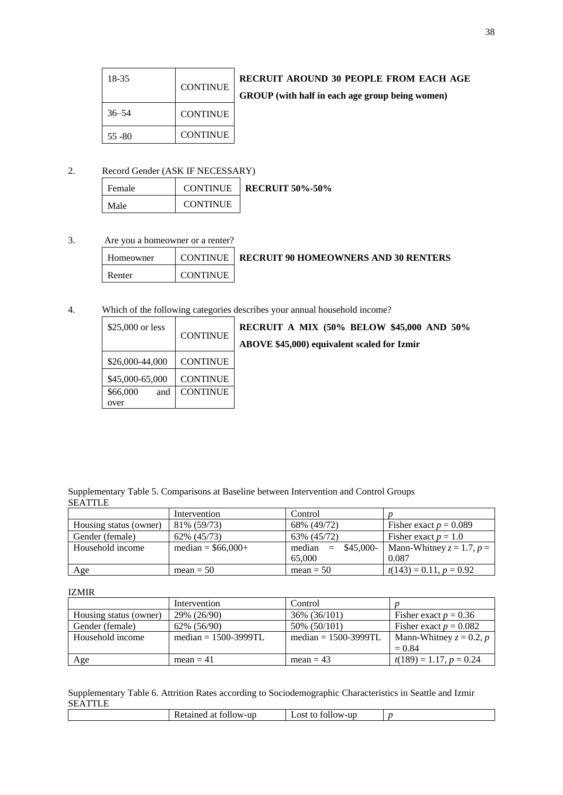| 18-35     | <b>CONTINUE</b> |
|-----------|-----------------|
| $36 - 54$ | <b>CONTINUE</b> |
| $55 - 80$ | <b>CONTINUE</b> |

## **RECRUIT AROUND 30 PEOPLE FROM EACH AGE**

## **GROUP (with half in each age group being women)**

## 2. Record Gender (ASK IF NECESSARY)

| l Female | <b>CONTINUE</b> | <b>RECRUIT 50%-50%</b> |
|----------|-----------------|------------------------|
| Male     | <b>CONTINUE</b> |                        |

#### 3. Are you a homeowner or a renter?

| Homeowner |                 | <b>CONTINUE   RECRUIT 90 HOMEOWNERS AND 30 RENTERS</b> |
|-----------|-----------------|--------------------------------------------------------|
| Renter    | <b>CONTINUE</b> |                                                        |

#### 4. Which of the following categories describes your annual household income?

| \$25,000 or less | <b>CONTINUE</b> |
|------------------|-----------------|
| \$26,000-44,000  | <b>CONTINUE</b> |
| \$45,000-65,000  | <b>CONTINUE</b> |
| \$66,000<br>and  | <b>CONTINUE</b> |
| over             |                 |

**RECRUIT A MIX (50% BELOW \$45,000 AND 50% ABOVE \$45,000) equivalent scaled for Izmir**

#### Supplementary Table 5. Comparisons at Baseline between Intervention and Control Groups **SEATTLE**

|                        | Intervention        | Control                    |                                |
|------------------------|---------------------|----------------------------|--------------------------------|
| Housing status (owner) | 81\% (59/73)        | 68% (49/72)                | Fisher exact $p = 0.089$       |
| Gender (female)        | 62\% (45/73)        | 63% (45/72)                | Fisher exact $p = 1.0$         |
| Household income       | median = $$66,000+$ | \$45,000-<br>median<br>$=$ | Mann-Whitney $z = 1.7$ , $p =$ |
|                        |                     | 65,000                     | 0.087                          |
| Age                    | $mean = 50$         | $mean = 50$                | $t(143) = 0.11, p = 0.92$      |

#### IZMIR

|                        | Intervention              | Control                   |                            |  |
|------------------------|---------------------------|---------------------------|----------------------------|--|
| Housing status (owner) | 29% (26/90)               | 36% (36/101)              | Fisher exact $p = 0.36$    |  |
| Gender (female)        | 62% (56/90)               | 50% (50/101)              | Fisher exact $p = 0.082$   |  |
| Household income       | median $= 1500 - 3999$ TL | median $= 1500 - 3999$ TL | Mann-Whitney $z = 0.2$ , p |  |
|                        |                           |                           | $= 0.84$                   |  |
| Age                    | mean $=$ 41               | mean $= 43$               | $t(189) = 1.17, p = 0.24$  |  |

#### Supplementary Table 6. Attrition Rates according to Sociodemographic Characteristics in Seattle and Izmir **SEATTLE**

|  |  | tollow-up<br>Ketained<br>ີ <b>ດ</b> 1<br>ĸ<br>-al | ∟ost<br>10llow-up<br>tο<br>_______ |  |  |
|--|--|---------------------------------------------------|------------------------------------|--|--|
|--|--|---------------------------------------------------|------------------------------------|--|--|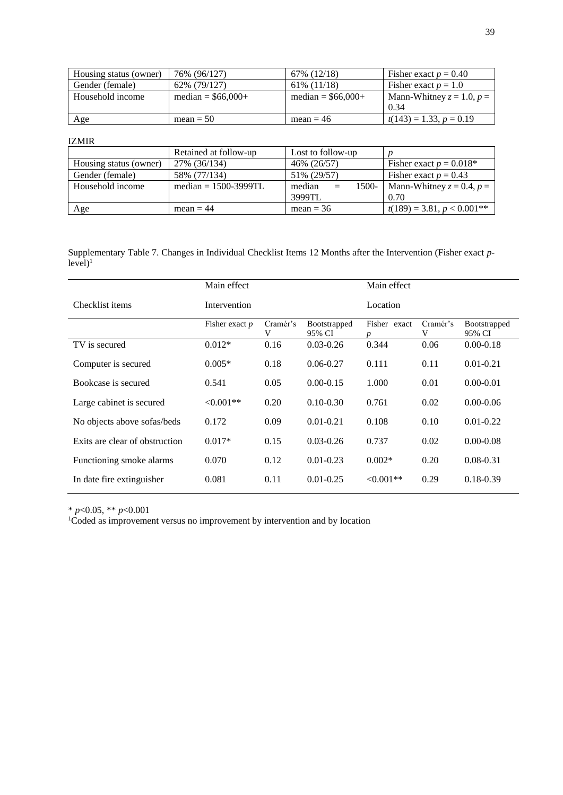| Housing status (owner) | 76% (96/127)        | 67% (12/18)         | Fisher exact $p = 0.40$        |
|------------------------|---------------------|---------------------|--------------------------------|
| Gender (female)        | 62% (79/127)        | 61\% (11/18)        | Fisher exact $p = 1.0$         |
| Household income       | median = $$66,000+$ | median = $$66,000+$ | Mann-Whitney $z = 1.0$ , $p =$ |
|                        |                     |                     | 0.34                           |
| Age                    | $mean = 50$         | $mean = 46$         | $t(143) = 1.33, p = 0.19$      |

IZMIR

|                        | Retained at follow-up     | Lost to follow-up         |                                |
|------------------------|---------------------------|---------------------------|--------------------------------|
| Housing status (owner) | 27% (36/134)              | 46% (26/57)               | Fisher exact $p = 0.018^*$     |
| Gender (female)        | 58% (77/134)              | 51% (29/57)               | Fisher exact $p = 0.43$        |
| Household income       | median $= 1500 - 3999$ TL | median<br>$1500 -$<br>$=$ | Mann-Whitney $z = 0.4$ , $p =$ |
|                        |                           | 3999TL                    | 0.70                           |
| Age                    | $mean = 44$               | mean $=$ 36               | $t(189) = 3.81, p < 0.001**$   |

Supplementary Table 7. Changes in Individual Checklist Items 12 Months after the Intervention (Fisher exact *p* $level)^1$ 

|                                | Main effect      |               |                               | Main effect  |               |                               |
|--------------------------------|------------------|---------------|-------------------------------|--------------|---------------|-------------------------------|
| Checklist items                | Intervention     |               |                               | Location     |               |                               |
|                                | Fisher exact $p$ | Cramér's<br>V | <b>Bootstrapped</b><br>95% CI | Fisher exact | Cramér's<br>V | <b>Bootstrapped</b><br>95% CI |
| TV is secured                  | $0.012*$         | 0.16          | $0.03 - 0.26$                 | 0.344        | 0.06          | $0.00 - 0.18$                 |
| Computer is secured            | $0.005*$         | 0.18          | $0.06 - 0.27$                 | 0.111        | 0.11          | $0.01 - 0.21$                 |
| Bookcase is secured            | 0.541            | 0.05          | $0.00 - 0.15$                 | 1.000        | 0.01          | $0.00 - 0.01$                 |
| Large cabinet is secured       | $<0.001**$       | 0.20          | $0.10 - 0.30$                 | 0.761        | 0.02          | $0.00 - 0.06$                 |
| No objects above sofas/beds    | 0.172            | 0.09          | $0.01 - 0.21$                 | 0.108        | 0.10          | $0.01 - 0.22$                 |
| Exits are clear of obstruction | $0.017*$         | 0.15          | $0.03 - 0.26$                 | 0.737        | 0.02          | $0.00 - 0.08$                 |
| Functioning smoke alarms       | 0.070            | 0.12          | $0.01 - 0.23$                 | $0.002*$     | 0.20          | $0.08 - 0.31$                 |
| In date fire extinguisher      | 0.081            | 0.11          | $0.01 - 0.25$                 | $<0.001**$   | 0.29          | $0.18 - 0.39$                 |

\* *p*<0.05, \*\* *p*<0.001

<sup>1</sup>Coded as improvement versus no improvement by intervention and by location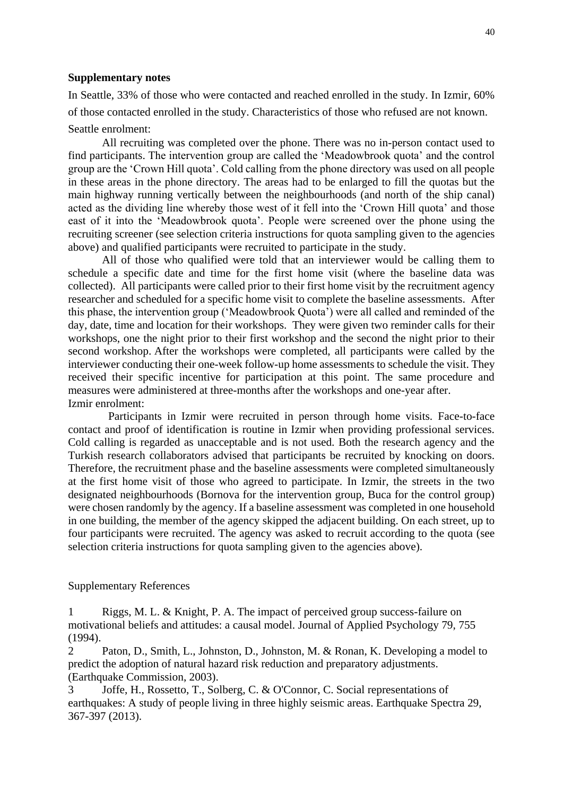## **Supplementary notes**

In Seattle, 33% of those who were contacted and reached enrolled in the study. In Izmir, 60% of those contacted enrolled in the study. Characteristics of those who refused are not known. Seattle enrolment:

All recruiting was completed over the phone. There was no in-person contact used to find participants. The intervention group are called the 'Meadowbrook quota' and the control group are the 'Crown Hill quota'. Cold calling from the phone directory was used on all people in these areas in the phone directory. The areas had to be enlarged to fill the quotas but the main highway running vertically between the neighbourhoods (and north of the ship canal) acted as the dividing line whereby those west of it fell into the 'Crown Hill quota' and those east of it into the 'Meadowbrook quota'. People were screened over the phone using the recruiting screener (see selection criteria instructions for quota sampling given to the agencies above) and qualified participants were recruited to participate in the study.

All of those who qualified were told that an interviewer would be calling them to schedule a specific date and time for the first home visit (where the baseline data was collected). All participants were called prior to their first home visit by the recruitment agency researcher and scheduled for a specific home visit to complete the baseline assessments. After this phase, the intervention group ('Meadowbrook Quota') were all called and reminded of the day, date, time and location for their workshops. They were given two reminder calls for their workshops, one the night prior to their first workshop and the second the night prior to their second workshop. After the workshops were completed, all participants were called by the interviewer conducting their one-week follow-up home assessments to schedule the visit. They received their specific incentive for participation at this point. The same procedure and measures were administered at three-months after the workshops and one-year after. Izmir enrolment:

Participants in Izmir were recruited in person through home visits. Face-to-face contact and proof of identification is routine in Izmir when providing professional services. Cold calling is regarded as unacceptable and is not used. Both the research agency and the Turkish research collaborators advised that participants be recruited by knocking on doors. Therefore, the recruitment phase and the baseline assessments were completed simultaneously at the first home visit of those who agreed to participate. In Izmir, the streets in the two designated neighbourhoods (Bornova for the intervention group, Buca for the control group) were chosen randomly by the agency. If a baseline assessment was completed in one household in one building, the member of the agency skipped the adjacent building. On each street, up to four participants were recruited. The agency was asked to recruit according to the quota (see selection criteria instructions for quota sampling given to the agencies above).

#### Supplementary References

1 Riggs, M. L. & Knight, P. A. The impact of perceived group success-failure on motivational beliefs and attitudes: a causal model. Journal of Applied Psychology 79, 755 (1994).

2 Paton, D., Smith, L., Johnston, D., Johnston, M. & Ronan, K. Developing a model to predict the adoption of natural hazard risk reduction and preparatory adjustments. (Earthquake Commission, 2003).

3 Joffe, H., Rossetto, T., Solberg, C. & O'Connor, C. Social representations of earthquakes: A study of people living in three highly seismic areas. Earthquake Spectra 29, 367-397 (2013).